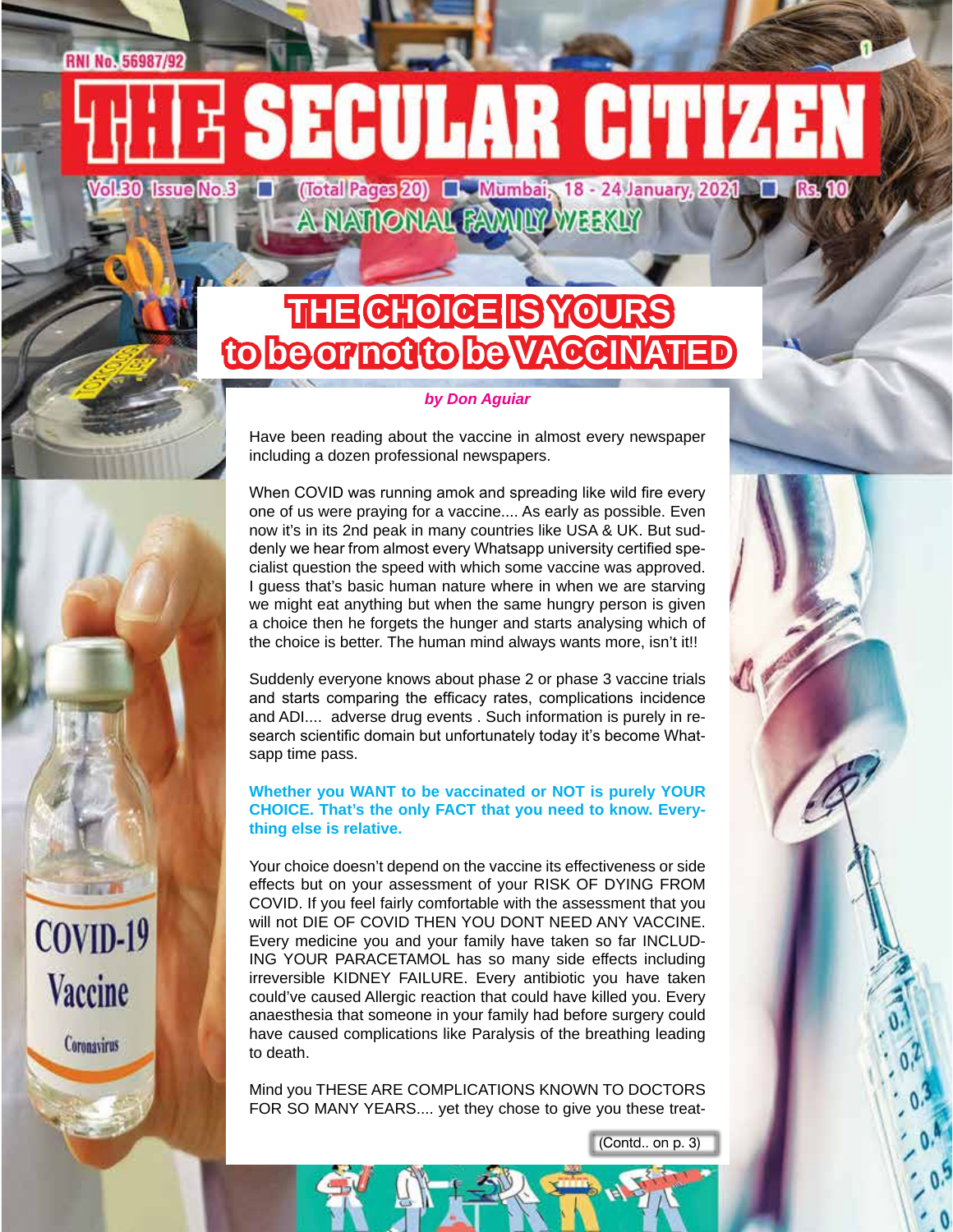# **RNI No. 56987/92** SECULAR CITIZER

(Total Pages 20) **Numbai**, 18 - 24 January, 2021 **1. Rs. 10 Wol.30 Issue No.3** A NATIONAL FAMILY WEEKLY

# **THE CHOICE IS YOURS to be or not to be VACCINATED**

#### *by Don Aguiar*

Have been reading about the vaccine in almost every newspaper including a dozen professional newspapers.

When COVID was running amok and spreading like wild fire every one of us were praying for a vaccine.... As early as possible. Even now it's in its 2nd peak in many countries like USA & UK. But suddenly we hear from almost every Whatsapp university certified specialist question the speed with which some vaccine was approved. I guess that's basic human nature where in when we are starving we might eat anything but when the same hungry person is given a choice then he forgets the hunger and starts analysing which of the choice is better. The human mind always wants more, isn't it!!

Suddenly everyone knows about phase 2 or phase 3 vaccine trials and starts comparing the efficacy rates, complications incidence and ADI.... adverse drug events . Such information is purely in research scientific domain but unfortunately today it's become Whatsapp time pass.

#### **Whether you WANT to be vaccinated or NOT is purely YOUR CHOICE. That's the only FACT that you need to know. Everything else is relative.**

Your choice doesn't depend on the vaccine its effectiveness or side effects but on your assessment of your RISK OF DYING FROM COVID. If you feel fairly comfortable with the assessment that you will not DIE OF COVID THEN YOU DONT NEED ANY VACCINE. Every medicine you and your family have taken so far INCLUD-ING YOUR PARACETAMOL has so many side effects including irreversible KIDNEY FAILURE. Every antibiotic you have taken could've caused Allergic reaction that could have killed you. Every anaesthesia that someone in your family had before surgery could have caused complications like Paralysis of the breathing leading to death.

 $COVID-19$ 

**Vaccine** 

Coronavirus

Mind you THESE ARE COMPLICATIONS KNOWN TO DOCTORS FOR SO MANY YEARS.... yet they chose to give you these treat-

(Contd.. on p. 3)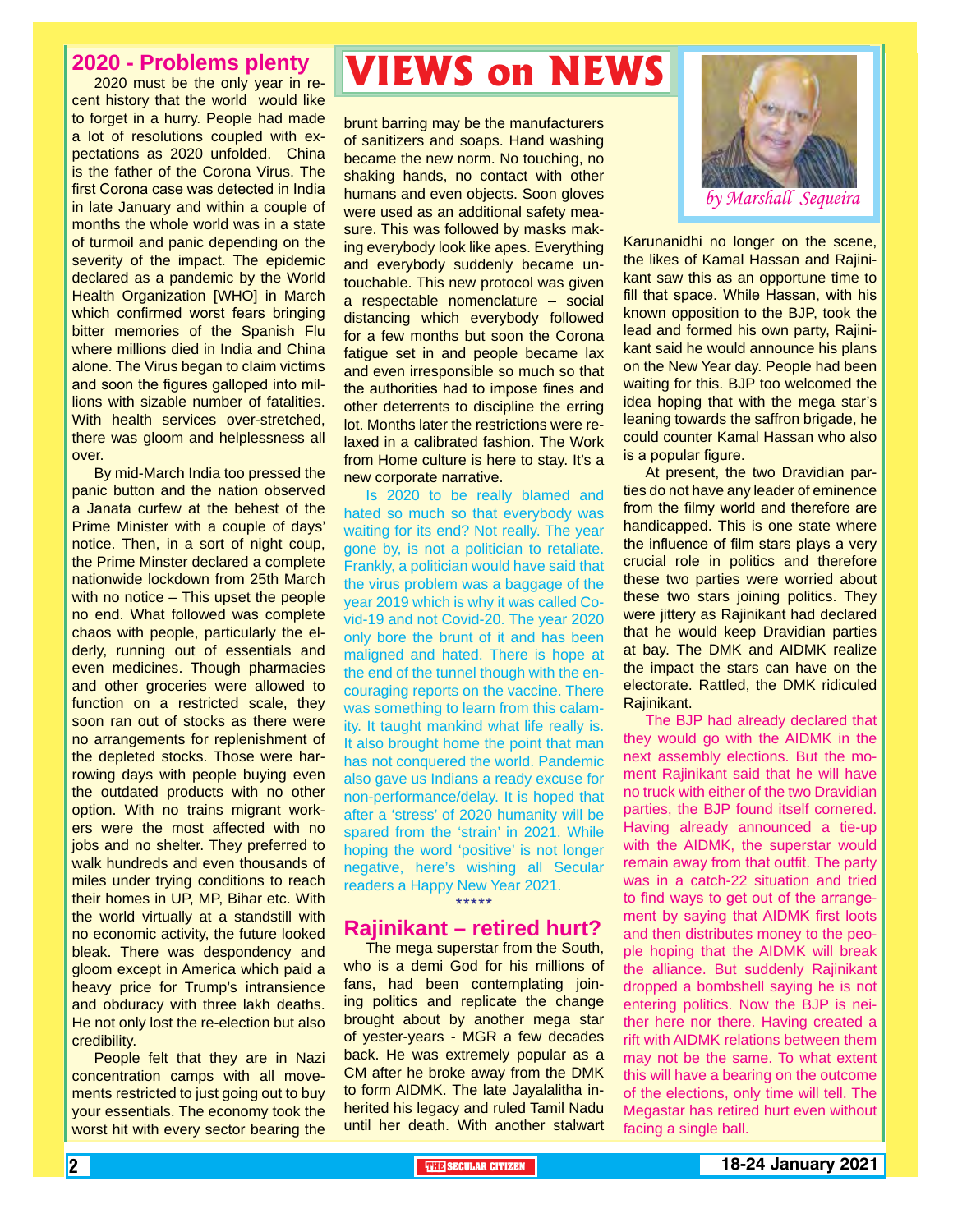#### **2020 - Problems plenty**

2020 must be the only year in recent history that the world would like to forget in a hurry. People had made a lot of resolutions coupled with expectations as 2020 unfolded. China is the father of the Corona Virus. The first Corona case was detected in India in late January and within a couple of months the whole world was in a state of turmoil and panic depending on the severity of the impact. The epidemic declared as a pandemic by the World Health Organization [WHO] in March which confirmed worst fears bringing bitter memories of the Spanish Flu where millions died in India and China alone. The Virus began to claim victims and soon the figures galloped into millions with sizable number of fatalities. With health services over-stretched, there was gloom and helplessness all over.

By mid-March India too pressed the panic button and the nation observed a Janata curfew at the behest of the Prime Minister with a couple of days' notice. Then, in a sort of night coup, the Prime Minster declared a complete nationwide lockdown from 25th March with no notice – This upset the people no end. What followed was complete chaos with people, particularly the elderly, running out of essentials and even medicines. Though pharmacies and other groceries were allowed to function on a restricted scale, they soon ran out of stocks as there were no arrangements for replenishment of the depleted stocks. Those were harrowing days with people buying even the outdated products with no other option. With no trains migrant workers were the most affected with no jobs and no shelter. They preferred to walk hundreds and even thousands of miles under trying conditions to reach their homes in UP, MP, Bihar etc. With the world virtually at a standstill with no economic activity, the future looked bleak. There was despondency and gloom except in America which paid a heavy price for Trump's intransience and obduracy with three lakh deaths. He not only lost the re-election but also credibility.

People felt that they are in Nazi concentration camps with all movements restricted to just going out to buy your essentials. The economy took the worst hit with every sector bearing the

## **VIEWS on NEWS**

brunt barring may be the manufacturers of sanitizers and soaps. Hand washing became the new norm. No touching, no shaking hands, no contact with other humans and even objects. Soon gloves were used as an additional safety measure. This was followed by masks making everybody look like apes. Everything and everybody suddenly became untouchable. This new protocol was given a respectable nomenclature – social distancing which everybody followed for a few months but soon the Corona fatigue set in and people became lax and even irresponsible so much so that the authorities had to impose fines and other deterrents to discipline the erring lot. Months later the restrictions were relaxed in a calibrated fashion. The Work from Home culture is here to stay. It's a new corporate narrative.

Is 2020 to be really blamed and hated so much so that everybody was waiting for its end? Not really. The year gone by, is not a politician to retaliate. Frankly, a politician would have said that the virus problem was a baggage of the year 2019 which is why it was called Covid-19 and not Covid-20. The year 2020 only bore the brunt of it and has been maligned and hated. There is hope at the end of the tunnel though with the encouraging reports on the vaccine. There was something to learn from this calamity. It taught mankind what life really is. It also brought home the point that man has not conquered the world. Pandemic also gave us Indians a ready excuse for non-performance/delay. It is hoped that after a 'stress' of 2020 humanity will be spared from the 'strain' in 2021. While hoping the word 'positive' is not longer negative, here's wishing all Secular readers a Happy New Year 2021.

\*\*\*\*\*

#### **Rajinikant – retired hurt?**

The mega superstar from the South, who is a demi God for his millions of fans, had been contemplating joining politics and replicate the change brought about by another mega star of yester-years - MGR a few decades back. He was extremely popular as a CM after he broke away from the DMK to form AIDMK. The late Jayalalitha inherited his legacy and ruled Tamil Nadu until her death. With another stalwart



Karunanidhi no longer on the scene, the likes of Kamal Hassan and Rajinikant saw this as an opportune time to fill that space. While Hassan, with his known opposition to the BJP, took the lead and formed his own party, Rajinikant said he would announce his plans on the New Year day. People had been waiting for this. BJP too welcomed the idea hoping that with the mega star's leaning towards the saffron brigade, he could counter Kamal Hassan who also is a popular figure.

At present, the two Dravidian parties do not have any leader of eminence from the filmy world and therefore are handicapped. This is one state where the influence of film stars plays a very crucial role in politics and therefore these two parties were worried about these two stars joining politics. They were jittery as Rajinikant had declared that he would keep Dravidian parties at bay. The DMK and AIDMK realize the impact the stars can have on the electorate. Rattled, the DMK ridiculed Rajinikant.

The BJP had already declared that they would go with the AIDMK in the next assembly elections. But the moment Rajinikant said that he will have no truck with either of the two Dravidian parties, the BJP found itself cornered. Having already announced a tie-up with the AIDMK, the superstar would remain away from that outfit. The party was in a catch-22 situation and tried to find ways to get out of the arrangement by saying that AIDMK first loots and then distributes money to the people hoping that the AIDMK will break the alliance. But suddenly Rajinikant dropped a bombshell saying he is not entering politics. Now the BJP is neither here nor there. Having created a rift with AIDMK relations between them may not be the same. To what extent this will have a bearing on the outcome of the elections, only time will tell. The Megastar has retired hurt even without facing a single ball.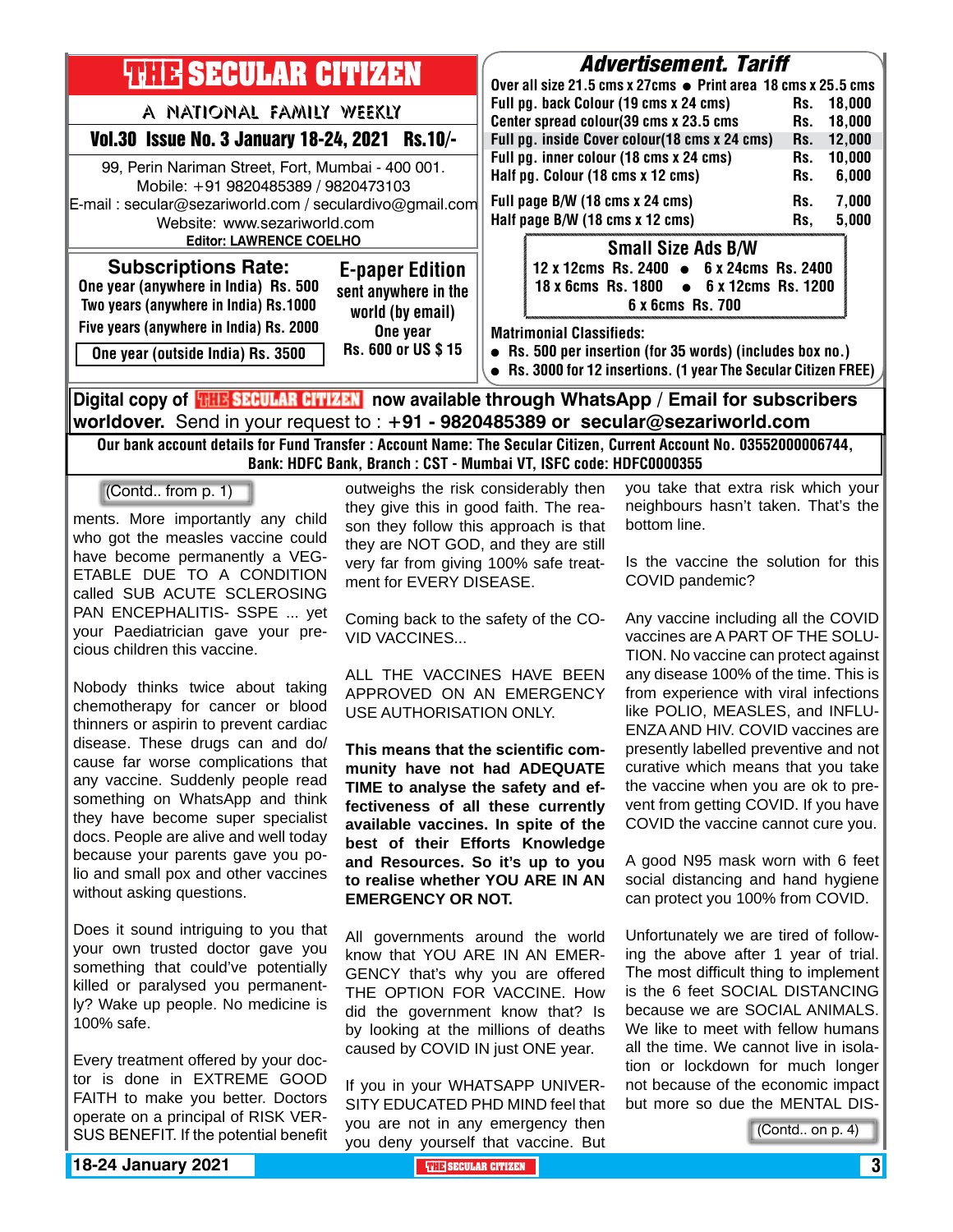| <b>THIR SECULAR CITIZEN</b>                                                                                                                                                                                           | Advertisement. Tariff<br>Over all size 21.5 cms x 27cms ● Print area 18 cms x 25.5 cms                                                                                                                                                           |
|-----------------------------------------------------------------------------------------------------------------------------------------------------------------------------------------------------------------------|--------------------------------------------------------------------------------------------------------------------------------------------------------------------------------------------------------------------------------------------------|
| A NATIONAL FAMILY WEEKLY<br>Vol.30 Issue No. 3 January 18-24, 2021 Rs.10/-                                                                                                                                            | Full pg. back Colour (19 cms x 24 cms)<br>18.000<br>Rs.<br>Center spread colour(39 cms x 23.5 cms<br>18,000<br>Rs.<br>Full pg. inside Cover colour(18 cms x 24 cms)<br>12,000<br>Rs.                                                             |
| 99, Perin Nariman Street, Fort, Mumbai - 400 001.<br>Mobile: +91 9820485389 / 9820473103<br>E-mail: secular@sezariworld.com / seculardivo@gmail.com<br>Website: www.sezariworld.com<br><b>Editor: LAWRENCE COELHO</b> | Full pg. inner colour (18 cms x 24 cms)<br>10,000<br>Rs.<br>Half pg. Colour (18 cms x 12 cms)<br>6,000<br>Rs.<br>Full page B/W (18 cms x 24 cms)<br>7,000<br>Rs.<br>Half page B/W (18 cms x 12 cms)<br>5,000<br>Rs.<br><b>Small Size Ads B/W</b> |
| <b>Subscriptions Rate:</b><br><b>E-paper Edition</b><br>One year (anywhere in India) Rs. 500<br>sent anywhere in the<br>Two years (anywhere in India) Rs.1000<br>world (by email)                                     | 12 x 12cms Rs. 2400 • 6 x 24cms Rs. 2400<br>18 x 6cms Rs. 1800 • 6 x 12cms Rs. 1200<br>6 x 6cms Rs. 700                                                                                                                                          |
| Five years (anywhere in India) Rs. 2000<br>One year<br>Rs. 600 or US \$15<br>One year (outside India) Rs. 3500                                                                                                        | <b>Matrimonial Classifieds:</b><br>• Rs. 500 per insertion (for 35 words) (includes box no.)<br>• Rs. 3000 for 12 insertions. (1 year The Secular Citizen FREE)                                                                                  |
| Digital copy of <b>THE SECULAR CITIZEN</b> now available through WhatsApp / Email for subscribers                                                                                                                     |                                                                                                                                                                                                                                                  |

**worldover.** Send in your request to : **+91 - 9820485389 or secular@sezariworld.com** Our bank account details for Fund Transfer : Account Name: The Secular Citizen, Current Account No. 03552000006744,

Bank: HDFC Bank, Branch : CST - Mumbai VT, ISFC code: HDFC0000355

(Contd.. from p. 1)

ments. More importantly any child who got the measles vaccine could have become permanently a VEG-ETABLE DUE TO A CONDITION called SUB ACUTE SCLEROSING PAN ENCEPHALITIS- SSPE ... yet your Paediatrician gave your precious children this vaccine.

Nobody thinks twice about taking chemotherapy for cancer or blood thinners or aspirin to prevent cardiac disease. These drugs can and do/ cause far worse complications that any vaccine. Suddenly people read something on WhatsApp and think they have become super specialist docs. People are alive and well today because your parents gave you polio and small pox and other vaccines without asking questions.

Does it sound intriguing to you that your own trusted doctor gave you something that could've potentially killed or paralysed you permanently? Wake up people. No medicine is 100% safe.

Every treatment offered by your doctor is done in EXTREME GOOD FAITH to make you better. Doctors operate on a principal of RISK VER-SUS BENEFIT. If the potential benefit

outweighs the risk considerably then they give this in good faith. The reason they follow this approach is that they are NOT GOD, and they are still very far from giving 100% safe treatment for EVERY DISEASE.

Coming back to the safety of the CO-VID VACCINES...

ALL THE VACCINES HAVE BEEN APPROVED ON AN EMERGENCY USE AUTHORISATION ONLY.

**This means that the scientific community have not had ADEQUATE TIME to analyse the safety and effectiveness of all these currently available vaccines. In spite of the best of their Efforts Knowledge and Resources. So it's up to you to realise whether YOU ARE IN AN EMERGENCY OR NOT.**

All governments around the world know that YOU ARE IN AN EMER-GENCY that's why you are offered THE OPTION FOR VACCINE. How did the government know that? Is by looking at the millions of deaths caused by COVID IN just ONE year.

If you in your WHATSAPP UNIVER-SITY EDUCATED PHD MIND feel that you are not in any emergency then you deny yourself that vaccine. But you take that extra risk which your neighbours hasn't taken. That's the bottom line.

Is the vaccine the solution for this COVID pandemic?

Any vaccine including all the COVID vaccines are A PART OF THE SOLU-TION. No vaccine can protect against any disease 100% of the time. This is from experience with viral infections like POLIO, MEASLES, and INFLU-ENZA AND HIV. COVID vaccines are presently labelled preventive and not curative which means that you take the vaccine when you are ok to prevent from getting COVID. If you have COVID the vaccine cannot cure you.

A good N95 mask worn with 6 feet social distancing and hand hygiene can protect you 100% from COVID.

Unfortunately we are tired of following the above after 1 year of trial. The most difficult thing to implement is the 6 feet SOCIAL DISTANCING because we are SOCIAL ANIMALS. We like to meet with fellow humans all the time. We cannot live in isolation or lockdown for much longer not because of the economic impact but more so due the MENTAL DIS-

(Contd.. on p. 4)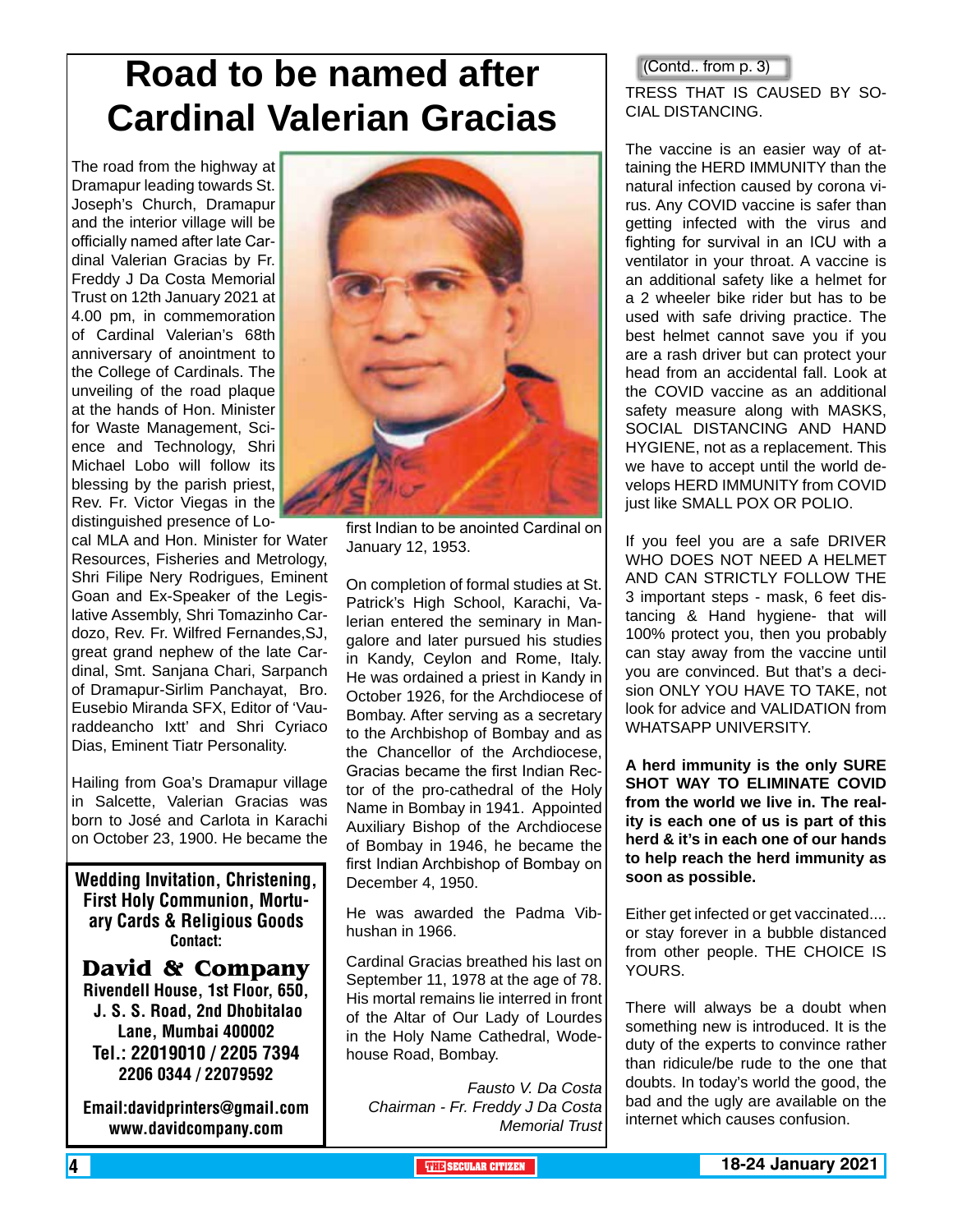# **Road to be named after Cardinal Valerian Gracias**

The road from the highway at Dramapur leading towards St. Joseph's Church, Dramapur and the interior village will be officially named after late Cardinal Valerian Gracias by Fr. Freddy J Da Costa Memorial Trust on 12th January 2021 at 4.00 pm, in commemoration of Cardinal Valerian's 68th anniversary of anointment to the College of Cardinals. The unveiling of the road plaque at the hands of Hon. Minister for Waste Management, Science and Technology, Shri Michael Lobo will follow its blessing by the parish priest, Rev. Fr. Victor Viegas in the distinguished presence of Lo-

cal MLA and Hon. Minister for Water Resources, Fisheries and Metrology, Shri Filipe Nery Rodrigues, Eminent Goan and Ex-Speaker of the Legislative Assembly, Shri Tomazinho Cardozo, Rev. Fr. Wilfred Fernandes,SJ, great grand nephew of the late Cardinal, Smt. Sanjana Chari, Sarpanch of Dramapur-Sirlim Panchayat, Bro. Eusebio Miranda SFX, Editor of 'Vauraddeancho Ixtt' and Shri Cyriaco Dias, Eminent Tiatr Personality.

Hailing from Goa's Dramapur village in Salcette, Valerian Gracias was born to José and Carlota in Karachi on October 23, 1900. He became the

Wedding Invitation, Christening, First Holy Communion, Mortuary Cards & Religious Goods Contact:

**David & Company** Rivendell House, 1st Floor, 650, J. S. S. Road, 2nd Dhobitalao Lane, Mumbai 400002 Tel.: 22019010 / 2205 7394 2206 0344 / 22079592

Email:davidprinters@gmail.com www.davidcompany.com



first Indian to be anointed Cardinal on January 12, 1953.

On completion of formal studies at St. Patrick's High School, Karachi, Valerian entered the seminary in Mangalore and later pursued his studies in Kandy, Ceylon and Rome, Italy. He was ordained a priest in Kandy in October 1926, for the Archdiocese of Bombay. After serving as a secretary to the Archbishop of Bombay and as the Chancellor of the Archdiocese, Gracias became the first Indian Rector of the pro-cathedral of the Holy Name in Bombay in 1941. Appointed Auxiliary Bishop of the Archdiocese of Bombay in 1946, he became the first Indian Archbishop of Bombay on December 4, 1950.

He was awarded the Padma Vibhushan in 1966.

Cardinal Gracias breathed his last on September 11, 1978 at the age of 78. His mortal remains lie interred in front of the Altar of Our Lady of Lourdes in the Holy Name Cathedral, Wodehouse Road, Bombay.

*Fausto V. Da Costa Chairman - Fr. Freddy J Da Costa Memorial Trust* (Contd.. from p. 3)

#### TRESS THAT IS CAUSED BY SO-CIAL DISTANCING.

The vaccine is an easier way of attaining the HERD IMMUNITY than the natural infection caused by corona virus. Any COVID vaccine is safer than getting infected with the virus and fighting for survival in an ICU with a ventilator in your throat. A vaccine is an additional safety like a helmet for a 2 wheeler bike rider but has to be used with safe driving practice. The best helmet cannot save you if you are a rash driver but can protect your head from an accidental fall. Look at the COVID vaccine as an additional safety measure along with MASKS, SOCIAL DISTANCING AND HAND HYGIENE, not as a replacement. This we have to accept until the world develops HERD IMMUNITY from COVID just like SMALL POX OR POLIO.

If you feel you are a safe DRIVER WHO DOES NOT NEED A HELMET AND CAN STRICTLY FOLLOW THE 3 important steps - mask, 6 feet distancing & Hand hygiene- that will 100% protect you, then you probably can stay away from the vaccine until you are convinced. But that's a decision ONLY YOU HAVE TO TAKE, not look for advice and VALIDATION from WHATSAPP UNIVERSITY.

**A herd immunity is the only SURE SHOT WAY TO ELIMINATE COVID from the world we live in. The reality is each one of us is part of this herd & it's in each one of our hands to help reach the herd immunity as soon as possible.**

Either get infected or get vaccinated.... or stay forever in a bubble distanced from other people. THE CHOICE IS YOURS.

There will always be a doubt when something new is introduced. It is the duty of the experts to convince rather than ridicule/be rude to the one that doubts. In today's world the good, the bad and the ugly are available on the internet which causes confusion.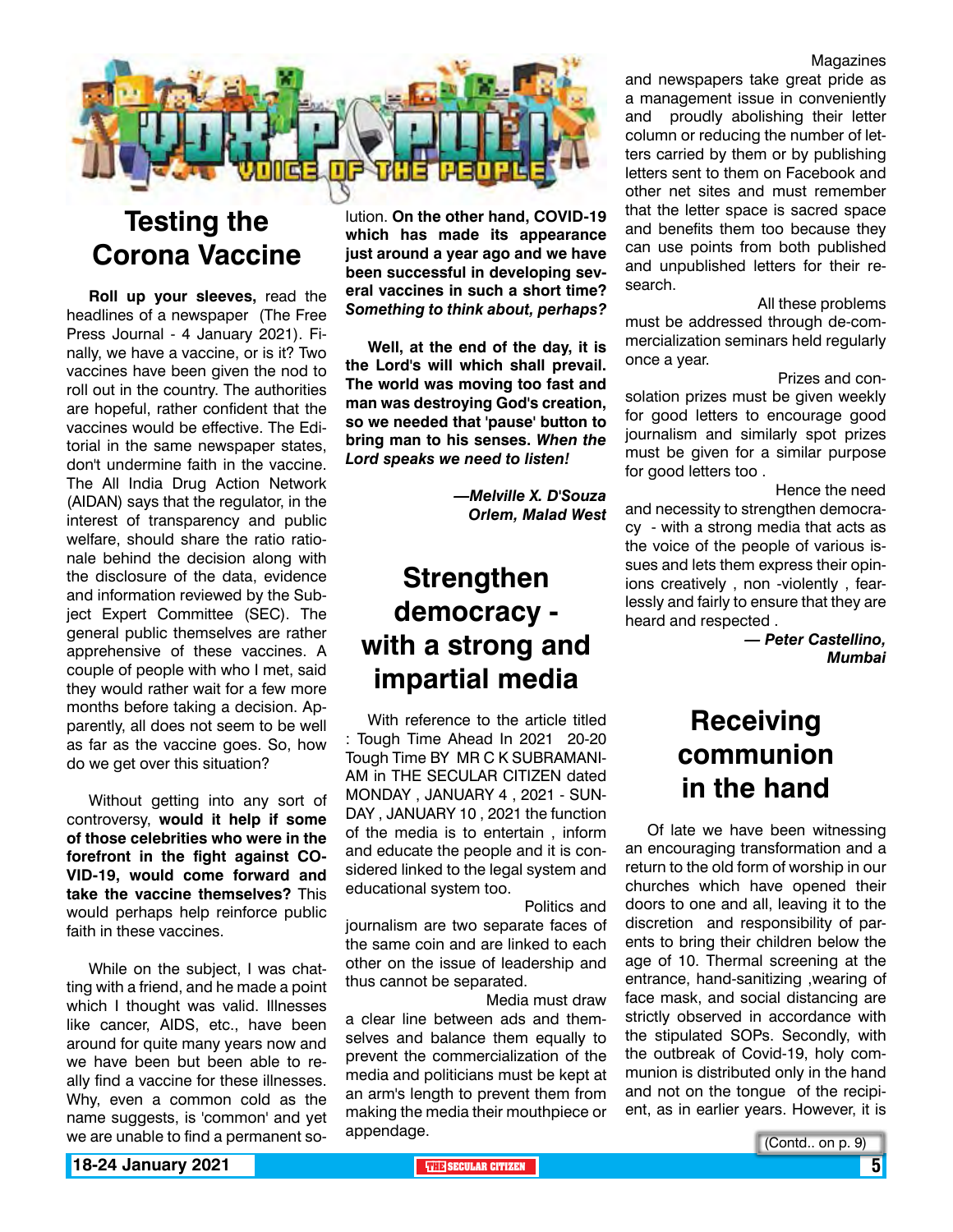

### **Testing the Corona Vaccine**

**Roll up your sleeves,** read the headlines of a newspaper (The Free Press Journal - 4 January 2021). Finally, we have a vaccine, or is it? Two vaccines have been given the nod to roll out in the country. The authorities are hopeful, rather confident that the vaccines would be effective. The Editorial in the same newspaper states, don't undermine faith in the vaccine. The All India Drug Action Network (AIDAN) says that the regulator, in the interest of transparency and public welfare, should share the ratio rationale behind the decision along with the disclosure of the data, evidence and information reviewed by the Subject Expert Committee (SEC). The general public themselves are rather apprehensive of these vaccines. A couple of people with who I met, said they would rather wait for a few more months before taking a decision. Apparently, all does not seem to be well as far as the vaccine goes. So, how do we get over this situation?

Without getting into any sort of controversy, **would it help if some of those celebrities who were in the forefront in the fight against CO-VID-19, would come forward and take the vaccine themselves?** This would perhaps help reinforce public faith in these vaccines.

While on the subject, I was chatting with a friend, and he made a point which I thought was valid. Illnesses like cancer, AIDS, etc., have been around for quite many years now and we have been but been able to really find a vaccine for these illnesses. Why, even a common cold as the name suggests, is 'common' and yet we are unable to find a permanent so-

lution. **On the other hand, COVID-19 which has made its appearance just around a year ago and we have been successful in developing several vaccines in such a short time?**  *Something to think about, perhaps?*

**Well, at the end of the day, it is the Lord's will which shall prevail. The world was moving too fast and man was destroying God's creation, so we needed that 'pause' button to bring man to his senses.** *When the Lord speaks we need to listen!*

> *—Melville X. D'Souza Orlem, Malad West*

### **Strengthen democracy with a strong and impartial media**

With reference to the article titled : Tough Time Ahead In 2021 20-20 Tough Time BY MR C K SUBRAMANI-AM in THE SECULAR CITIZEN dated MONDAY , JANUARY 4 , 2021 - SUN-DAY , JANUARY 10 , 2021 the function of the media is to entertain , inform and educate the people and it is considered linked to the legal system and educational system too.

 Politics and journalism are two separate faces of the same coin and are linked to each other on the issue of leadership and thus cannot be separated.

 Media must draw a clear line between ads and themselves and balance them equally to prevent the commercialization of the media and politicians must be kept at an arm's length to prevent them from making the media their mouthpiece or appendage.

Magazines

and newspapers take great pride as a management issue in conveniently and proudly abolishing their letter column or reducing the number of letters carried by them or by publishing letters sent to them on Facebook and other net sites and must remember that the letter space is sacred space and benefits them too because they can use points from both published and unpublished letters for their research.

 All these problems must be addressed through de-commercialization seminars held regularly once a year.

Prizes and con-

solation prizes must be given weekly for good letters to encourage good journalism and similarly spot prizes must be given for a similar purpose for good letters too .

 Hence the need and necessity to strengthen democracy - with a strong media that acts as the voice of the people of various issues and lets them express their opinions creatively , non -violently , fearlessly and fairly to ensure that they are heard and respected .

> *— Peter Castellino, Mumbai*

### **Receiving communion in the hand**

Of late we have been witnessing an encouraging transformation and a return to the old form of worship in our churches which have opened their doors to one and all, leaving it to the discretion and responsibility of parents to bring their children below the age of 10. Thermal screening at the entrance, hand-sanitizing ,wearing of face mask, and social distancing are strictly observed in accordance with the stipulated SOPs. Secondly, with the outbreak of Covid-19, holy communion is distributed only in the hand and not on the tongue of the recipient, as in earlier years. However, it is

(Contd.. on p. 9)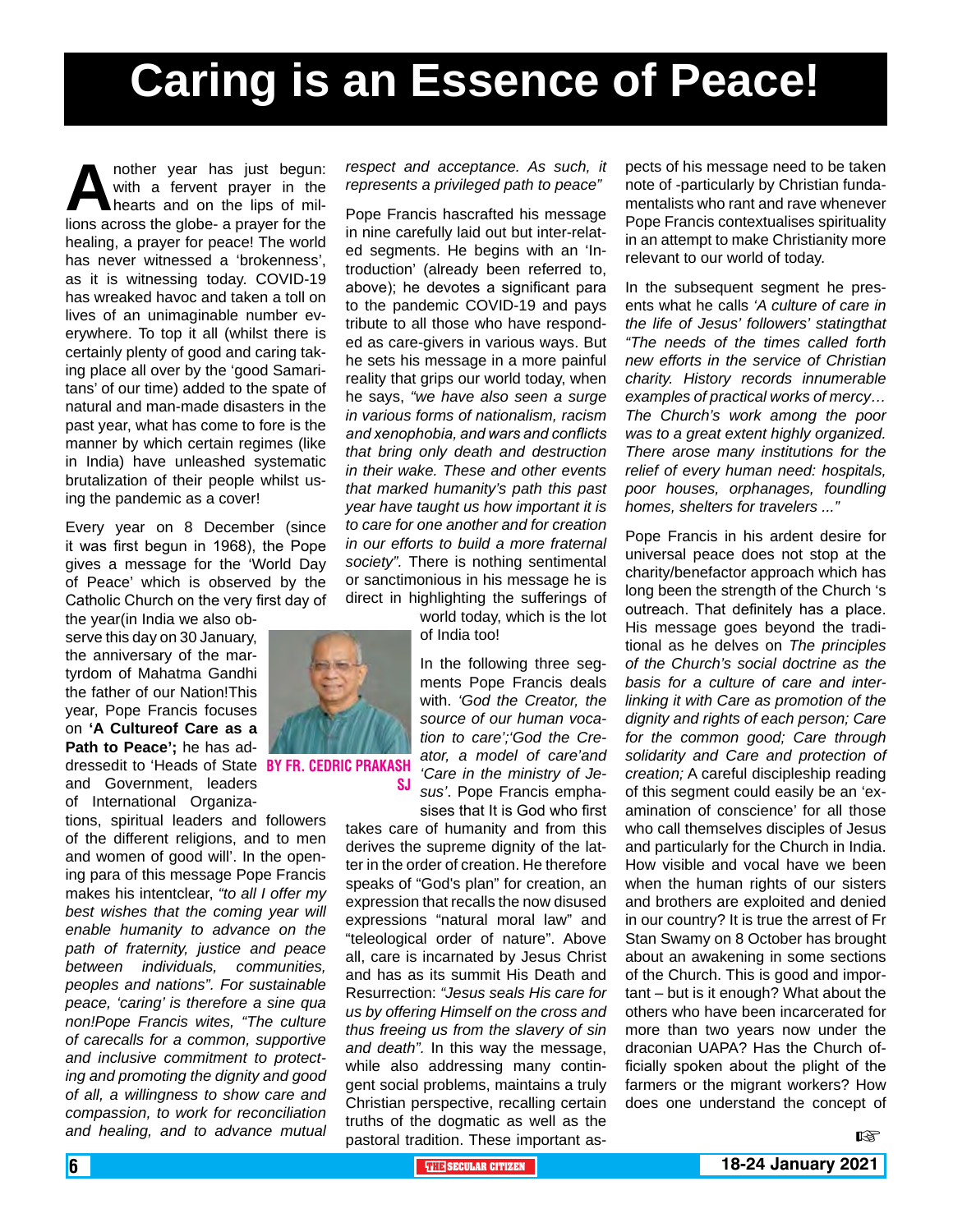# **Caring is an Essence of Peace!**

**A** nother year has just begun:<br>with a fervent prayer in the<br>lions across the globe- a prayer for the with a fervent prayer in the hearts and on the lips of millions across the globe- a prayer for the healing, a prayer for peace! The world has never witnessed a 'brokenness', as it is witnessing today. COVID-19 has wreaked havoc and taken a toll on lives of an unimaginable number everywhere. To top it all (whilst there is certainly plenty of good and caring taking place all over by the 'good Samaritans' of our time) added to the spate of natural and man-made disasters in the past year, what has come to fore is the manner by which certain regimes (like in India) have unleashed systematic brutalization of their people whilst using the pandemic as a cover!

Every year on 8 December (since it was first begun in 1968), the Pope gives a message for the 'World Day of Peace' which is observed by the Catholic Church on the very first day of

the year(in India we also observe this day on 30 January, the anniversary of the martyrdom of Mahatma Gandhi the father of our Nation!This year, Pope Francis focuses on **'A Cultureof Care as a Path to Peace';** he has addressedit to 'Heads of State BY FR. CEDRIC PRAKA and Government, leaders of International Organiza-

tions, spiritual leaders and followers of the different religions, and to men and women of good will'. In the opening para of this message Pope Francis makes his intentclear, *"to all I offer my best wishes that the coming year will enable humanity to advance on the path of fraternity, justice and peace between individuals, communities, peoples and nations". For sustainable peace, 'caring' is therefore a sine qua non!Pope Francis wites, "The culture of carecalls for a common, supportive and inclusive commitment to protecting and promoting the dignity and good of all, a willingness to show care and compassion, to work for reconciliation and healing, and to advance mutual*  *respect and acceptance. As such, it represents a privileged path to peace"*

Pope Francis hascrafted his message in nine carefully laid out but inter-related segments. He begins with an 'Introduction' (already been referred to, above); he devotes a significant para to the pandemic COVID-19 and pays tribute to all those who have responded as care-givers in various ways. But he sets his message in a more painful reality that grips our world today, when he says, *"we have also seen a surge in various forms of nationalism, racism and xenophobia, and wars and conflicts that bring only death and destruction in their wake. These and other events that marked humanity's path this past year have taught us how important it is to care for one another and for creation in our efforts to build a more fraternal society".* There is nothing sentimental or sanctimonious in his message he is direct in highlighting the sufferings of

world today, which is the lot of India too!

In the following three segments Pope Francis deals with. *'God the Creator, the source of our human vocation to care';'God the Creator, a model of care'and 'Care in the ministry of Jesus'*. Pope Francis emphasises that It is God who first

takes care of humanity and from this derives the supreme dignity of the latter in the order of creation. He therefore speaks of "God's plan" for creation, an expression that recalls the now disused expressions "natural moral law" and "teleological order of nature". Above all, care is incarnated by Jesus Christ and has as its summit His Death and Resurrection: *"Jesus seals His care for us by offering Himself on the cross and thus freeing us from the slavery of sin and death".* In this way the message, while also addressing many contingent social problems, maintains a truly Christian perspective, recalling certain truths of the dogmatic as well as the pastoral tradition. These important aspects of his message need to be taken note of -particularly by Christian fundamentalists who rant and rave whenever Pope Francis contextualises spirituality in an attempt to make Christianity more relevant to our world of today.

In the subsequent segment he presents what he calls *'A culture of care in the life of Jesus' followers' statingthat "The needs of the times called forth new efforts in the service of Christian charity. History records innumerable examples of practical works of mercy… The Church's work among the poor was to a great extent highly organized. There arose many institutions for the relief of every human need: hospitals, poor houses, orphanages, foundling homes, shelters for travelers ..."*

Pope Francis in his ardent desire for universal peace does not stop at the charity/benefactor approach which has long been the strength of the Church 's outreach. That definitely has a place. His message goes beyond the traditional as he delves on *The principles of the Church's social doctrine as the basis for a culture of care and interlinking it with Care as promotion of the dignity and rights of each person; Care for the common good; Care through solidarity and Care and protection of creation;* A careful discipleship reading of this segment could easily be an 'examination of conscience' for all those who call themselves disciples of Jesus and particularly for the Church in India. How visible and vocal have we been when the human rights of our sisters and brothers are exploited and denied in our country? It is true the arrest of Fr Stan Swamy on 8 October has brought about an awakening in some sections of the Church. This is good and important – but is it enough? What about the others who have been incarcerated for more than two years now under the draconian UAPA? Has the Church officially spoken about the plight of the farmers or the migrant workers? How does one understand the concept of

 $R$ 



sj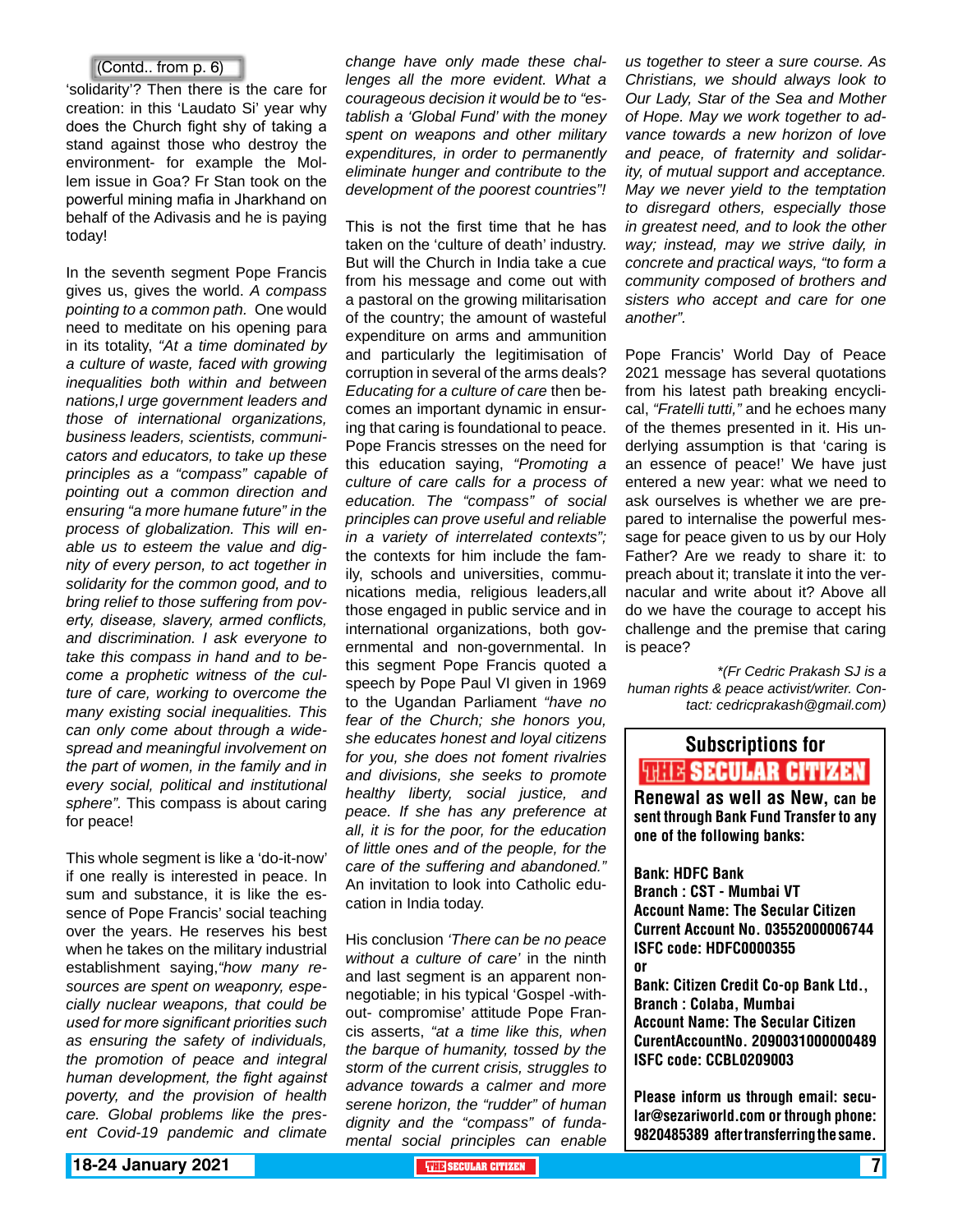#### (Contd.. from p. 6)

'solidarity'? Then there is the care for creation: in this 'Laudato Si' year why does the Church fight shy of taking a stand against those who destroy the environment- for example the Mollem issue in Goa? Fr Stan took on the powerful mining mafia in Jharkhand on behalf of the Adivasis and he is paying today!

In the seventh segment Pope Francis gives us, gives the world. *A compass pointing to a common path.* One would need to meditate on his opening para in its totality, *"At a time dominated by a culture of waste, faced with growing inequalities both within and between nations,I urge government leaders and those of international organizations, business leaders, scientists, communicators and educators, to take up these principles as a "compass" capable of pointing out a common direction and ensuring "a more humane future" in the process of globalization. This will enable us to esteem the value and dignity of every person, to act together in solidarity for the common good, and to bring relief to those suffering from poverty, disease, slavery, armed conflicts, and discrimination. I ask everyone to take this compass in hand and to become a prophetic witness of the culture of care, working to overcome the many existing social inequalities. This can only come about through a widespread and meaningful involvement on the part of women, in the family and in every social, political and institutional sphere".* This compass is about caring for peace!

This whole segment is like a 'do-it-now' if one really is interested in peace. In sum and substance, it is like the essence of Pope Francis' social teaching over the years. He reserves his best when he takes on the military industrial establishment saying,*"how many resources are spent on weaponry, especially nuclear weapons, that could be used for more significant priorities such as ensuring the safety of individuals, the promotion of peace and integral human development, the fight against poverty, and the provision of health care. Global problems like the present Covid-19 pandemic and climate* 

*change have only made these challenges all the more evident. What a courageous decision it would be to "establish a 'Global Fund' with the money spent on weapons and other military expenditures, in order to permanently eliminate hunger and contribute to the development of the poorest countries"!*

This is not the first time that he has taken on the 'culture of death' industry. But will the Church in India take a cue from his message and come out with a pastoral on the growing militarisation of the country; the amount of wasteful expenditure on arms and ammunition and particularly the legitimisation of corruption in several of the arms deals? *Educating for a culture of care* then becomes an important dynamic in ensuring that caring is foundational to peace. Pope Francis stresses on the need for this education saying, *"Promoting a culture of care calls for a process of education. The "compass" of social principles can prove useful and reliable in a variety of interrelated contexts";* the contexts for him include the family, schools and universities, communications media, religious leaders,all those engaged in public service and in international organizations, both governmental and non-governmental. In this segment Pope Francis quoted a speech by Pope Paul VI given in 1969 to the Ugandan Parliament *"have no fear of the Church; she honors you, she educates honest and loyal citizens for you, she does not foment rivalries and divisions, she seeks to promote healthy liberty, social justice, and peace. If she has any preference at all, it is for the poor, for the education of little ones and of the people, for the care of the suffering and abandoned."* An invitation to look into Catholic education in India today.

His conclusion *'There can be no peace without a culture of care'* in the ninth and last segment is an apparent nonnegotiable; in his typical 'Gospel -without- compromise' attitude Pope Francis asserts, *"at a time like this, when the barque of humanity, tossed by the storm of the current crisis, struggles to advance towards a calmer and more serene horizon, the "rudder" of human dignity and the "compass" of fundamental social principles can enable* 

*us together to steer a sure course. As Christians, we should always look to Our Lady, Star of the Sea and Mother of Hope. May we work together to advance towards a new horizon of love and peace, of fraternity and solidarity, of mutual support and acceptance. May we never yield to the temptation to disregard others, especially those in greatest need, and to look the other way; instead, may we strive daily, in concrete and practical ways, "to form a community composed of brothers and sisters who accept and care for one another".*

Pope Francis' World Day of Peace 2021 message has several quotations from his latest path breaking encyclical, *"Fratelli tutti,"* and he echoes many of the themes presented in it. His underlying assumption is that 'caring is an essence of peace!' We have just entered a new year: what we need to ask ourselves is whether we are prepared to internalise the powerful message for peace given to us by our Holy Father? Are we ready to share it: to preach about it; translate it into the vernacular and write about it? Above all do we have the courage to accept his challenge and the premise that caring is peace?

*\*(Fr Cedric Prakash SJ is a human rights & peace activist/writer. Contact: cedricprakash@gmail.com)*

### Subscriptions for **THIE SECULAR CITIZEN**<br>Renewal as well as New, can be

sent through Bank Fund Transfer to any one of the following banks:

Bank: HDFC Bank Branch : CST - Mumbai VT Account Name: The Secular Citizen Current Account No. 03552000006744 ISFC code: HDFC0000355 or Bank: Citizen Credit Co-op Bank Ltd., Branch : Colaba, Mumbai Account Name: The Secular Citizen CurentAccountNo. 2090031000000489 ISFC code: CCBL0209003

Please inform us through email: secular@sezariworld.com or through phone: 9820485389 after transferring the same.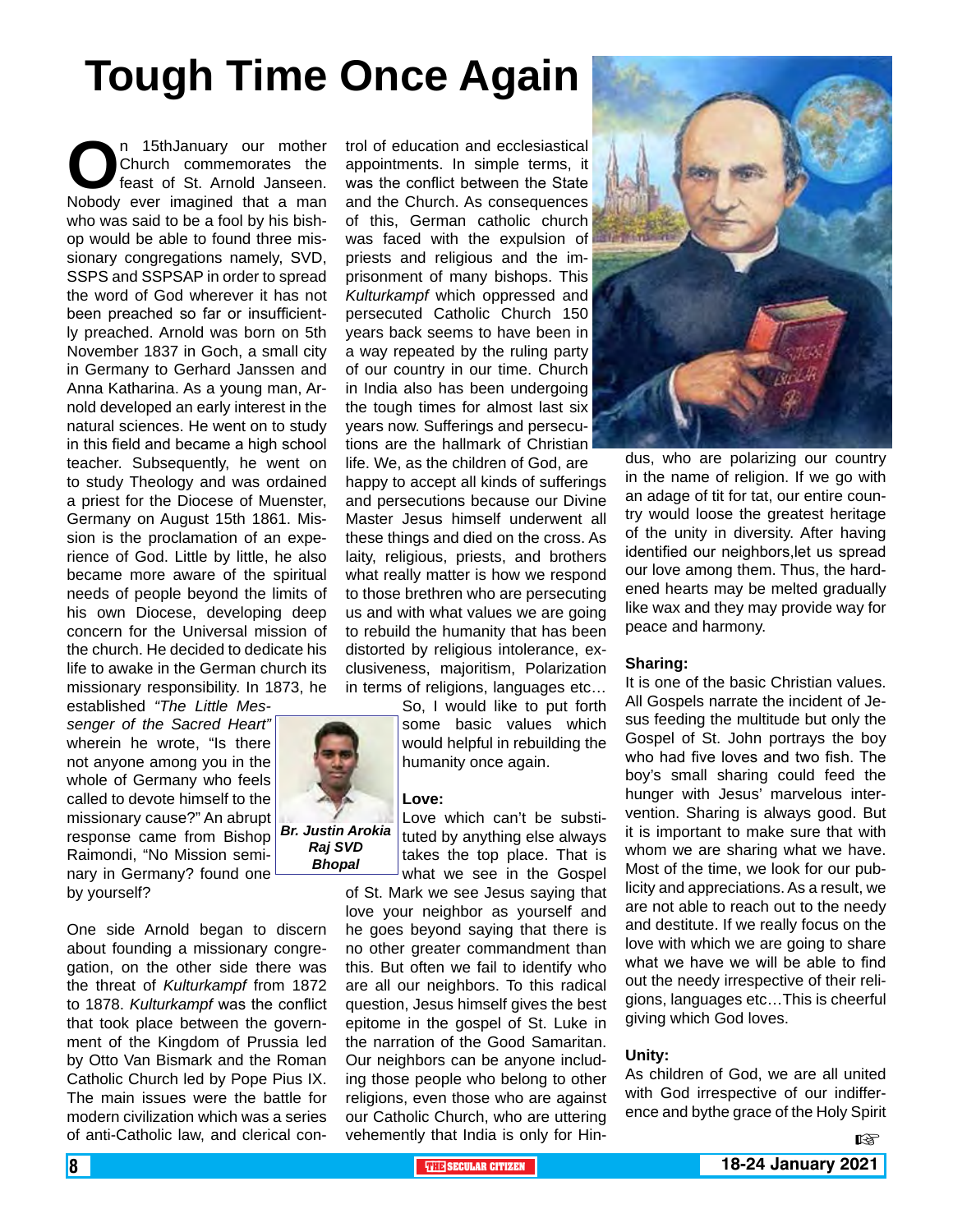# **Tough Time Once Again**

n 15thJanuary our mother<br>
Church commemorates the<br>
Nobody ever imagined that a man Church commemorates the feast of St. Arnold Janseen. who was said to be a fool by his bishop would be able to found three missionary congregations namely, SVD, SSPS and SSPSAP in order to spread the word of God wherever it has not been preached so far or insufficiently preached. Arnold was born on 5th November 1837 in Goch, a small city in Germany to Gerhard Janssen and Anna Katharina. As a young man, Arnold developed an early interest in the natural sciences. He went on to study in this field and became a high school teacher. Subsequently, he went on to study Theology and was ordained a priest for the Diocese of Muenster, Germany on August 15th 1861. Mission is the proclamation of an experience of God. Little by little, he also became more aware of the spiritual needs of people beyond the limits of his own Diocese, developing deep concern for the Universal mission of the church. He decided to dedicate his life to awake in the German church its missionary responsibility. In 1873, he

established *"The Little Messenger of the Sacred Heart"* wherein he wrote, "Is there not anyone among you in the whole of Germany who feels called to devote himself to the missionary cause?" An abrupt response came from Bishop Raimondi, "No Mission seminary in Germany? found one by yourself?

One side Arnold began to discern about founding a missionary congregation, on the other side there was the threat of *Kulturkampf* from 1872 to 1878. *Kulturkampf* was the conflict that took place between the government of the Kingdom of Prussia led by Otto Van Bismark and the Roman Catholic Church led by Pope Pius IX. The main issues were the battle for modern civilization which was a series of anti-Catholic law, and clerical con-



trol of education and ecclesiastical appointments. In simple terms, it was the conflict between the State and the Church. As consequences of this, German catholic church was faced with the expulsion of priests and religious and the imprisonment of many bishops. This *Kulturkampf* which oppressed and persecuted Catholic Church 150 years back seems to have been in a way repeated by the ruling party of our country in our time. Church in India also has been undergoing the tough times for almost last six years now. Sufferings and persecutions are the hallmark of Christian life. We, as the children of God, are

happy to accept all kinds of sufferings and persecutions because our Divine Master Jesus himself underwent all these things and died on the cross. As laity, religious, priests, and brothers what really matter is how we respond to those brethren who are persecuting us and with what values we are going to rebuild the humanity that has been distorted by religious intolerance, exclusiveness, majoritism, Polarization in terms of religions, languages etc…

> So, I would like to put forth some basic values which would helpful in rebuilding the humanity once again.

#### **Love:**

Love which can't be substituted by anything else always takes the top place. That is what we see in the Gospel

of St. Mark we see Jesus saying that love your neighbor as yourself and he goes beyond saying that there is no other greater commandment than this. But often we fail to identify who are all our neighbors. To this radical question, Jesus himself gives the best epitome in the gospel of St. Luke in the narration of the Good Samaritan. Our neighbors can be anyone including those people who belong to other religions, even those who are against our Catholic Church, who are uttering vehemently that India is only for Hin-



dus, who are polarizing our country in the name of religion. If we go with an adage of tit for tat, our entire country would loose the greatest heritage of the unity in diversity. After having identified our neighbors,let us spread our love among them. Thus, the hardened hearts may be melted gradually like wax and they may provide way for peace and harmony.

#### **Sharing:**

It is one of the basic Christian values. All Gospels narrate the incident of Jesus feeding the multitude but only the Gospel of St. John portrays the boy who had five loves and two fish. The boy's small sharing could feed the hunger with Jesus' marvelous intervention. Sharing is always good. But it is important to make sure that with whom we are sharing what we have. Most of the time, we look for our publicity and appreciations. As a result, we are not able to reach out to the needy and destitute. If we really focus on the love with which we are going to share what we have we will be able to find out the needy irrespective of their religions, languages etc…This is cheerful giving which God loves.

#### **Unity:**

As children of God, we are all united with God irrespective of our indifference and bythe grace of the Holy Spirit

 $\mathbb{R}$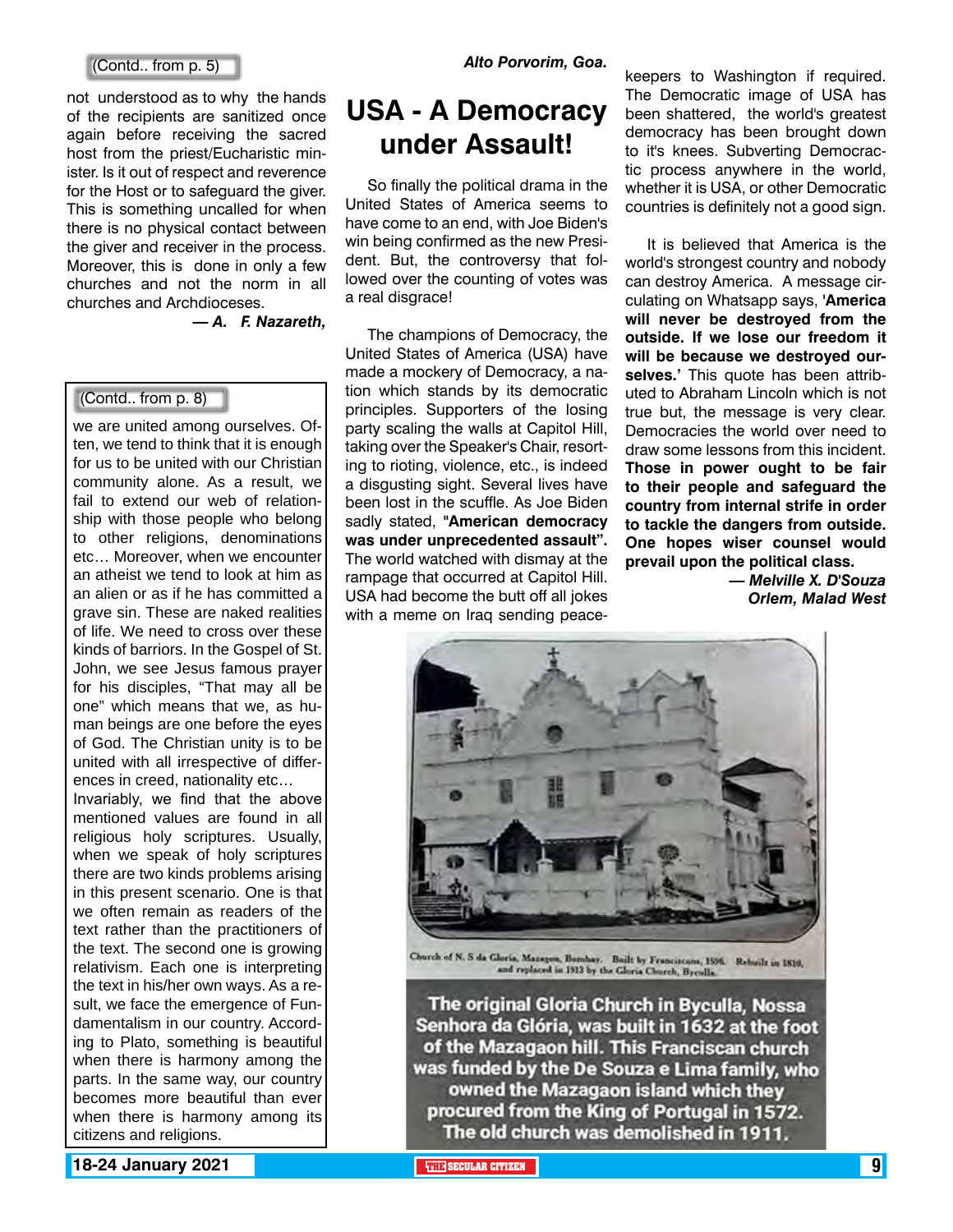#### (Contd.. from p. 5)

not understood as to why the hands of the recipients are sanitized once again before receiving the sacred host from the priest/Eucharistic minister. Is it out of respect and reverence for the Host or to safeguard the giver. This is something uncalled for when there is no physical contact between the giver and receiver in the process. Moreover, this is done in only a few churches and not the norm in all churches and Archdioceses.

*— A. F. Nazareth,*

#### (Contd.. from p. 8)

we are united among ourselves. Often, we tend to think that it is enough for us to be united with our Christian community alone. As a result, we fail to extend our web of relationship with those people who belong to other religions, denominations etc… Moreover, when we encounter an atheist we tend to look at him as an alien or as if he has committed a grave sin. These are naked realities of life. We need to cross over these kinds of barriors. In the Gospel of St. John, we see Jesus famous prayer for his disciples, "That may all be one" which means that we, as human beings are one before the eyes of God. The Christian unity is to be united with all irrespective of differences in creed, nationality etc… Invariably, we find that the above mentioned values are found in all religious holy scriptures. Usually, when we speak of holy scriptures there are two kinds problems arising in this present scenario. One is that we often remain as readers of the text rather than the practitioners of the text. The second one is growing relativism. Each one is interpreting the text in his/her own ways. As a result, we face the emergence of Fundamentalism in our country. According to Plato, something is beautiful when there is harmony among the parts. In the same way, our country becomes more beautiful than ever when there is harmony among its citizens and religions.

### **USA - A Democracy under Assault!**

So finally the political drama in the United States of America seems to have come to an end, with Joe Biden's win being confirmed as the new President. But, the controversy that followed over the counting of votes was a real disgrace!

The champions of Democracy, the United States of America (USA) have made a mockery of Democracy, a nation which stands by its democratic principles. Supporters of the losing party scaling the walls at Capitol Hill, taking over the Speaker's Chair, resorting to rioting, violence, etc., is indeed a disgusting sight. Several lives have been lost in the scuffle. As Joe Biden sadly stated, **"American democracy was under unprecedented assault".** The world watched with dismay at the rampage that occurred at Capitol Hill. USA had become the butt off all jokes with a meme on Iraq sending peace-

keepers to Washington if required. The Democratic image of USA has been shattered, the world's greatest democracy has been brought down to it's knees. Subverting Democractic process anywhere in the world, whether it is USA, or other Democratic countries is definitely not a good sign.

It is believed that America is the world's strongest country and nobody can destroy America. A message circulating on Whatsapp says, **'America will never be destroyed from the outside. If we lose our freedom it will be because we destroyed ourselves.'** This quote has been attributed to Abraham Lincoln which is not true but, the message is very clear. Democracies the world over need to draw some lessons from this incident. **Those in power ought to be fair to their people and safeguard the country from internal strife in order to tackle the dangers from outside. One hopes wiser counsel would prevail upon the political class.**

*— Melville X. D'Souza Orlem, Malad West*



Church of N. S da Gloria, Mazagon, Bomhay. Built by Franciscans, 1596. Rehuilt in 1810, and replaced in 1913 by the Gloria Church, Bycolla.

The original Gloria Church in Byculla, Nossa Senhora da Glória, was built in 1632 at the foot of the Mazagaon hill. This Franciscan church was funded by the De Souza e Lima family, who owned the Mazagaon island which they procured from the King of Portugal in 1572. The old church was demolished in 1911.

**18-24 January 2021 The SECULAR CITIZEN CONSUMISTIZER THE SECULAR CITIZEN 19**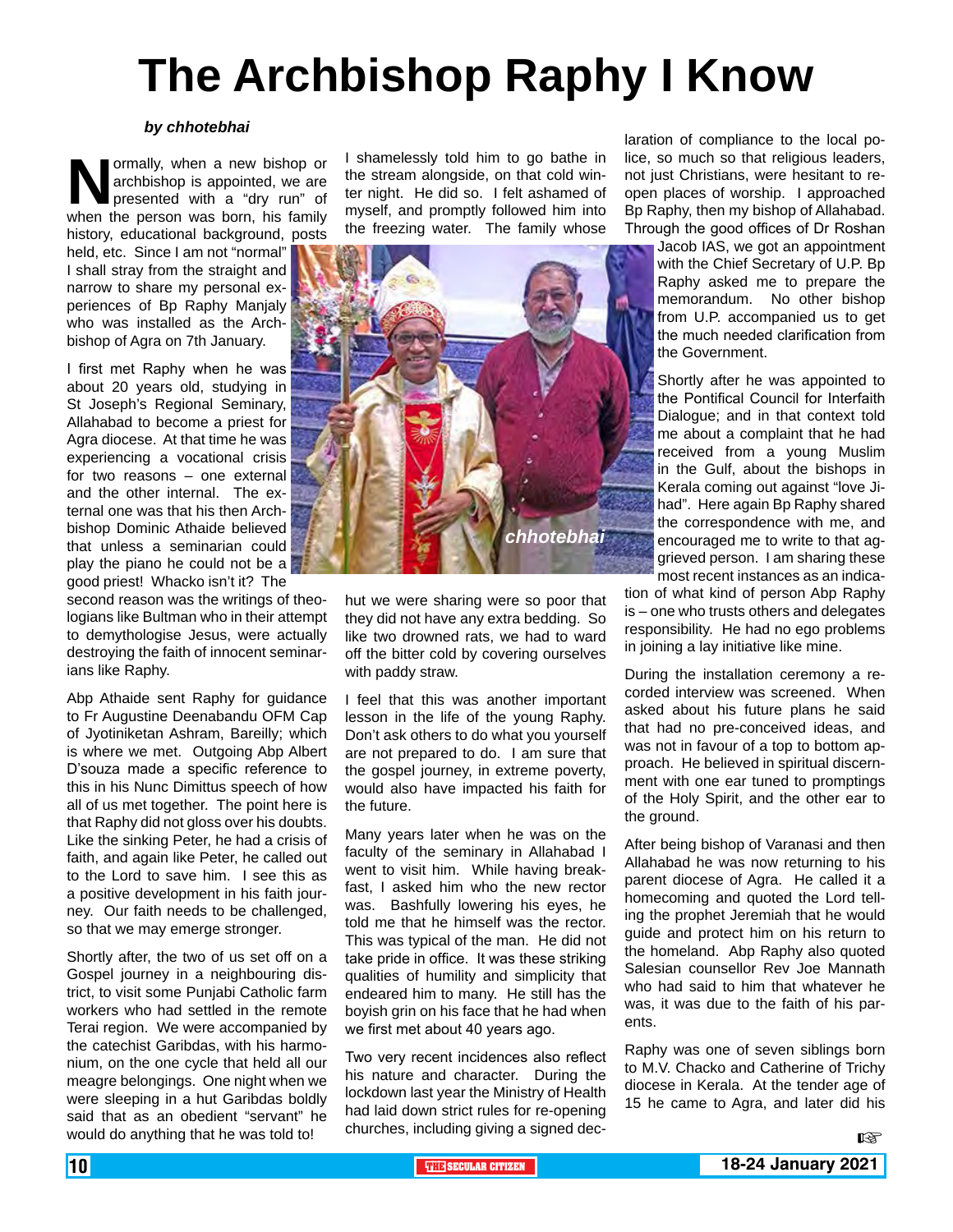# **The Archbishop Raphy I Know**

#### *by chhotebhai*

**Normally, when a new bishop or archbishop is appointed, we are presented with a "dry run" of when the person was born. his family** archbishop is appointed, we are presented with a "dry run" of when the person was born, his family history, educational background, posts

held, etc. Since I am not "normal" I shall stray from the straight and narrow to share my personal experiences of Bp Raphy Manjaly who was installed as the Archbishop of Agra on 7th January.

I first met Raphy when he was about 20 years old, studying in St Joseph's Regional Seminary, Allahabad to become a priest for Agra diocese. At that time he was experiencing a vocational crisis for two reasons – one external and the other internal. The external one was that his then Archbishop Dominic Athaide believed that unless a seminarian could play the piano he could not be a good priest! Whacko isn't it? The

second reason was the writings of theologians like Bultman who in their attempt to demythologise Jesus, were actually destroying the faith of innocent seminarians like Raphy.

Abp Athaide sent Raphy for guidance to Fr Augustine Deenabandu OFM Cap of Jyotiniketan Ashram, Bareilly; which is where we met. Outgoing Abp Albert D'souza made a specific reference to this in his Nunc Dimittus speech of how all of us met together. The point here is that Raphy did not gloss over his doubts. Like the sinking Peter, he had a crisis of faith, and again like Peter, he called out to the Lord to save him. I see this as a positive development in his faith journey. Our faith needs to be challenged, so that we may emerge stronger.

Shortly after, the two of us set off on a Gospel journey in a neighbouring district, to visit some Punjabi Catholic farm workers who had settled in the remote Terai region. We were accompanied by the catechist Garibdas, with his harmonium, on the one cycle that held all our meagre belongings. One night when we were sleeping in a hut Garibdas boldly said that as an obedient "servant" he would do anything that he was told to!

I shamelessly told him to go bathe in the stream alongside, on that cold winter night. He did so. I felt ashamed of myself, and promptly followed him into the freezing water. The family whose



hut we were sharing were so poor that they did not have any extra bedding. So like two drowned rats, we had to ward off the bitter cold by covering ourselves with paddy straw.

I feel that this was another important lesson in the life of the young Raphy. Don't ask others to do what you yourself are not prepared to do. I am sure that the gospel journey, in extreme poverty, would also have impacted his faith for the future.

Many years later when he was on the faculty of the seminary in Allahabad I went to visit him. While having breakfast, I asked him who the new rector was. Bashfully lowering his eyes, he told me that he himself was the rector. This was typical of the man. He did not take pride in office. It was these striking qualities of humility and simplicity that endeared him to many. He still has the boyish grin on his face that he had when we first met about 40 years ago.

Two very recent incidences also reflect his nature and character. During the lockdown last year the Ministry of Health had laid down strict rules for re-opening churches, including giving a signed dec-

laration of compliance to the local police, so much so that religious leaders, not just Christians, were hesitant to reopen places of worship. I approached Bp Raphy, then my bishop of Allahabad. Through the good offices of Dr Roshan

> Jacob IAS, we got an appointment with the Chief Secretary of U.P. Bp Raphy asked me to prepare the memorandum. No other bishop from U.P. accompanied us to get the much needed clarification from the Government.

> Shortly after he was appointed to the Pontifical Council for Interfaith Dialogue; and in that context told me about a complaint that he had received from a young Muslim in the Gulf, about the bishops in Kerala coming out against "love Jihad". Here again Bp Raphy shared the correspondence with me, and encouraged me to write to that aggrieved person. I am sharing these most recent instances as an indica-

tion of what kind of person Abp Raphy is – one who trusts others and delegates responsibility. He had no ego problems in joining a lay initiative like mine.

During the installation ceremony a recorded interview was screened. When asked about his future plans he said that had no pre-conceived ideas, and was not in favour of a top to bottom approach. He believed in spiritual discernment with one ear tuned to promptings of the Holy Spirit, and the other ear to the ground.

After being bishop of Varanasi and then Allahabad he was now returning to his parent diocese of Agra. He called it a homecoming and quoted the Lord telling the prophet Jeremiah that he would guide and protect him on his return to the homeland. Abp Raphy also quoted Salesian counsellor Rev Joe Mannath who had said to him that whatever he was, it was due to the faith of his parents.

Raphy was one of seven siblings born to M.V. Chacko and Catherine of Trichy diocese in Kerala. At the tender age of 15 he came to Agra, and later did his

隐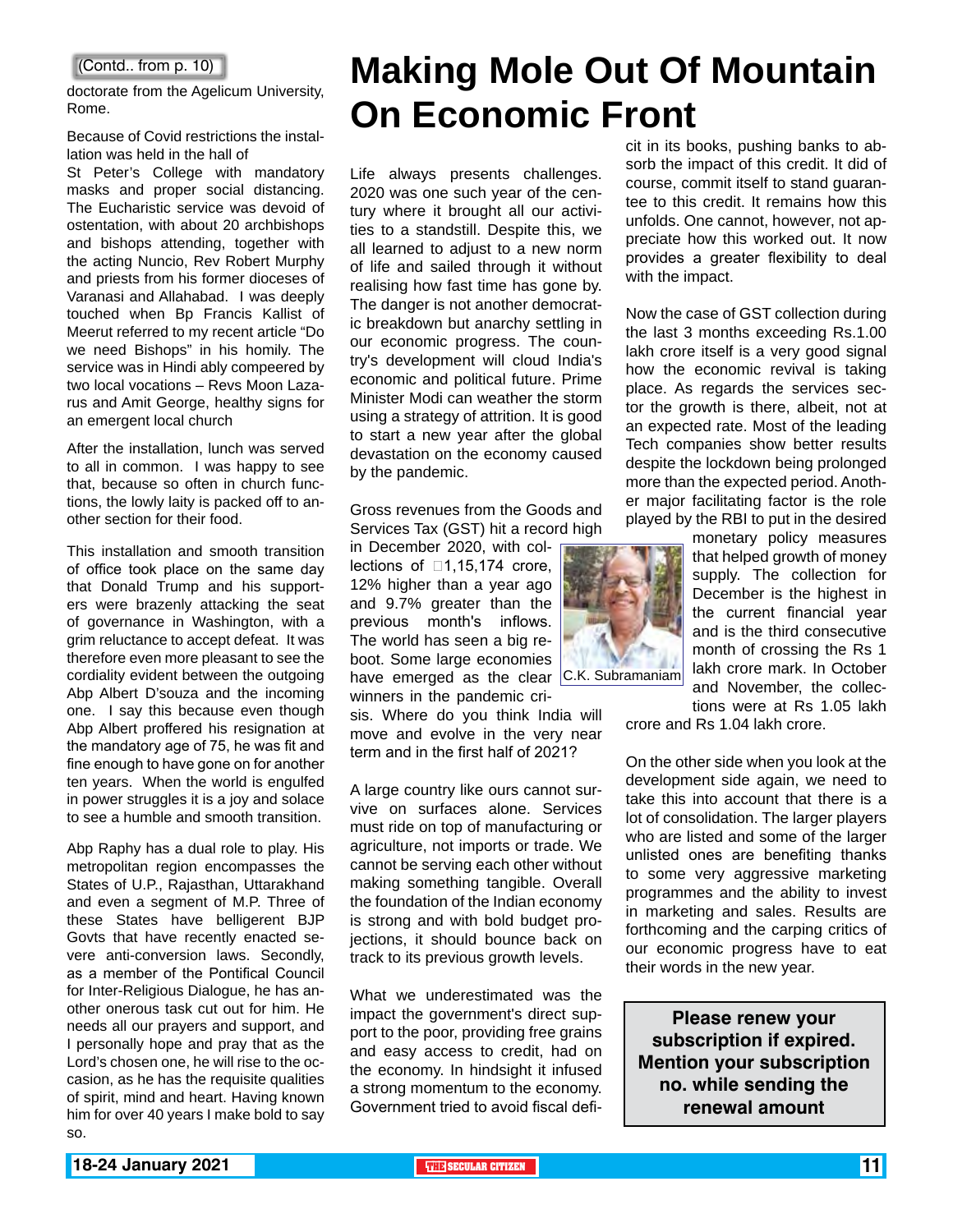doctorate from the Agelicum University, Rome.

#### Because of Covid restrictions the installation was held in the hall of

St Peter's College with mandatory masks and proper social distancing. The Eucharistic service was devoid of ostentation, with about 20 archbishops and bishops attending, together with the acting Nuncio, Rev Robert Murphy and priests from his former dioceses of Varanasi and Allahabad. I was deeply touched when Bp Francis Kallist of Meerut referred to my recent article "Do we need Bishops" in his homily. The service was in Hindi ably compeered by two local vocations – Revs Moon Lazarus and Amit George, healthy signs for an emergent local church

After the installation, lunch was served to all in common. I was happy to see that, because so often in church functions, the lowly laity is packed off to another section for their food.

This installation and smooth transition of office took place on the same day that Donald Trump and his supporters were brazenly attacking the seat of governance in Washington, with a grim reluctance to accept defeat. It was therefore even more pleasant to see the cordiality evident between the outgoing Abp Albert D'souza and the incoming one. I say this because even though Abp Albert proffered his resignation at the mandatory age of 75, he was fit and fine enough to have gone on for another ten years. When the world is engulfed in power struggles it is a joy and solace to see a humble and smooth transition.

Abp Raphy has a dual role to play. His metropolitan region encompasses the States of U.P., Rajasthan, Uttarakhand and even a segment of M.P. Three of these States have belligerent BJP Govts that have recently enacted severe anti-conversion laws. Secondly, as a member of the Pontifical Council for Inter-Religious Dialogue, he has another onerous task cut out for him. He needs all our prayers and support, and I personally hope and pray that as the Lord's chosen one, he will rise to the occasion, as he has the requisite qualities of spirit, mind and heart. Having known him for over 40 years I make bold to say so.

# **Making Mole Out Of Mountain On Economic Front**

Life always presents challenges. 2020 was one such year of the century where it brought all our activities to a standstill. Despite this, we all learned to adjust to a new norm of life and sailed through it without realising how fast time has gone by. The danger is not another democratic breakdown but anarchy settling in our economic progress. The country's development will cloud India's economic and political future. Prime Minister Modi can weather the storm using a strategy of attrition. It is good to start a new year after the global devastation on the economy caused by the pandemic.

Gross revenues from the Goods and Services Tax (GST) hit a record high

in December 2020, with collections of  $\Box$ 1,15,174 crore, 12% higher than a year ago and 9.7% greater than the previous month's inflows. The world has seen a big reboot. Some large economies have emerged as the clear C.K. Subramaniam winners in the pandemic cri-

sis. Where do you think India will move and evolve in the very near term and in the first half of 2021?

A large country like ours cannot survive on surfaces alone. Services must ride on top of manufacturing or agriculture, not imports or trade. We cannot be serving each other without making something tangible. Overall the foundation of the Indian economy is strong and with bold budget projections, it should bounce back on track to its previous growth levels.

What we underestimated was the impact the government's direct support to the poor, providing free grains and easy access to credit, had on the economy. In hindsight it infused a strong momentum to the economy. Government tried to avoid fiscal deficit in its books, pushing banks to absorb the impact of this credit. It did of course, commit itself to stand guarantee to this credit. It remains how this unfolds. One cannot, however, not appreciate how this worked out. It now provides a greater flexibility to deal with the impact.

Now the case of GST collection during the last 3 months exceeding Rs.1.00 lakh crore itself is a very good signal how the economic revival is taking place. As regards the services sector the growth is there, albeit, not at an expected rate. Most of the leading Tech companies show better results despite the lockdown being prolonged more than the expected period. Another major facilitating factor is the role played by the RBI to put in the desired



month of crossing the Rs 1 lakh crore mark. In October and November, the collec-

tions were at Rs 1.05 lakh crore and Rs 1.04 lakh crore.

monetary policy measures that helped growth of money supply. The collection for December is the highest in the current financial year and is the third consecutive

On the other side when you look at the development side again, we need to take this into account that there is a lot of consolidation. The larger players who are listed and some of the larger unlisted ones are benefiting thanks to some very aggressive marketing programmes and the ability to invest in marketing and sales. Results are forthcoming and the carping critics of our economic progress have to eat their words in the new year.

**Please renew your subscription if expired. Mention your subscription no. while sending the renewal amount**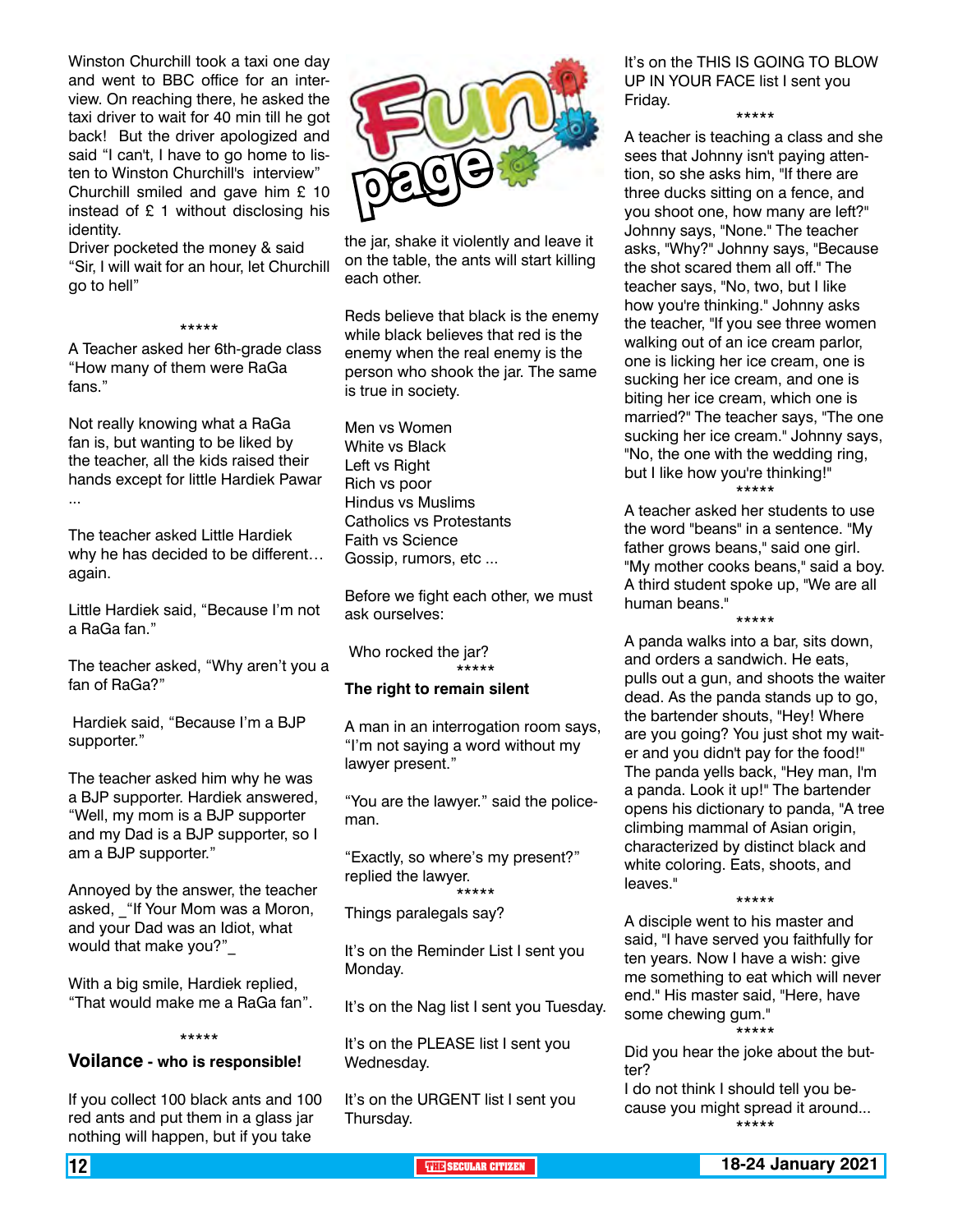Winston Churchill took a taxi one day and went to BBC office for an interview. On reaching there, he asked the taxi driver to wait for 40 min till he got back! But the driver apologized and said "I can't, I have to go home to listen to Winston Churchill's interview" Churchill smiled and gave him £ 10 instead of £ 1 without disclosing his identity.

Driver pocketed the money & said "Sir, I will wait for an hour, let Churchill go to hell"

#### \*\*\*\*\*

A Teacher asked her 6th-grade class "How many of them were RaGa fans."

Not really knowing what a RaGa fan is, but wanting to be liked by the teacher, all the kids raised their hands except for little Hardiek Pawar ...

The teacher asked Little Hardiek why he has decided to be different… again.

Little Hardiek said, "Because I'm not a RaGa fan."

The teacher asked, "Why aren't you a fan of RaGa?"

 Hardiek said, "Because I'm a BJP supporter."

The teacher asked him why he was a BJP supporter. Hardiek answered, "Well, my mom is a BJP supporter and my Dad is a BJP supporter, so I am a BJP supporter."

Annoyed by the answer, the teacher asked, \_"If Your Mom was a Moron, and your Dad was an Idiot, what would that make you?"

With a big smile, Hardiek replied, "That would make me a RaGa fan".

#### \*\*\*\*\*

#### **Voilance - who is responsible!**

If you collect 100 black ants and 100 red ants and put them in a glass jar nothing will happen, but if you take



the jar, shake it violently and leave it on the table, the ants will start killing each other.

Reds believe that black is the enemy while black believes that red is the enemy when the real enemy is the person who shook the jar. The same is true in society.

Men vs Women White vs Black Left vs Right Rich vs poor Hindus vs Muslims Catholics vs Protestants Faith vs Science Gossip, rumors, etc ...

Before we fight each other, we must ask ourselves:

 Who rocked the jar? \*\*\*\*\*

#### **The right to remain silent**

A man in an interrogation room says, "I'm not saying a word without my lawyer present."

"You are the lawyer." said the policeman.

"Exactly, so where's my present?" replied the lawyer. \*\*\*\*\*

Things paralegals say?

It's on the Reminder List I sent you Monday.

It's on the Nag list I sent you Tuesday.

It's on the PLEASE list I sent you Wednesday.

It's on the URGENT list I sent you Thursday.

It's on the THIS IS GOING TO BLOW UP IN YOUR FACE list I sent you Friday. \*\*\*\*\*

A teacher is teaching a class and she sees that Johnny isn't paying attention, so she asks him, "If there are three ducks sitting on a fence, and you shoot one, how many are left?" Johnny says, "None." The teacher asks, "Why?" Johnny says, "Because the shot scared them all off." The teacher says, "No, two, but I like how you're thinking." Johnny asks the teacher, "If you see three women walking out of an ice cream parlor, one is licking her ice cream, one is sucking her ice cream, and one is biting her ice cream, which one is married?" The teacher says, "The one sucking her ice cream." Johnny says, "No, the one with the wedding ring, but I like how you're thinking!"

\*\*\*\*\*

A teacher asked her students to use the word "beans" in a sentence. "My father grows beans," said one girl. "My mother cooks beans," said a boy. A third student spoke up, "We are all human beans."

\*\*\*\*\*

A panda walks into a bar, sits down, and orders a sandwich. He eats, pulls out a gun, and shoots the waiter dead. As the panda stands up to go, the bartender shouts, "Hey! Where are you going? You just shot my waiter and you didn't pay for the food!" The panda yells back, "Hey man, I'm a panda. Look it up!" The bartender opens his dictionary to panda, "A tree climbing mammal of Asian origin, characterized by distinct black and white coloring. Eats, shoots, and leaves."

\*\*\*\*\* A disciple went to his master and said, "I have served you faithfully for ten years. Now I have a wish: give me something to eat which will never end." His master said, "Here, have some chewing gum."

\*\*\*\*\* Did you hear the joke about the butter?

I do not think I should tell you because you might spread it around... \*\*\*\*\*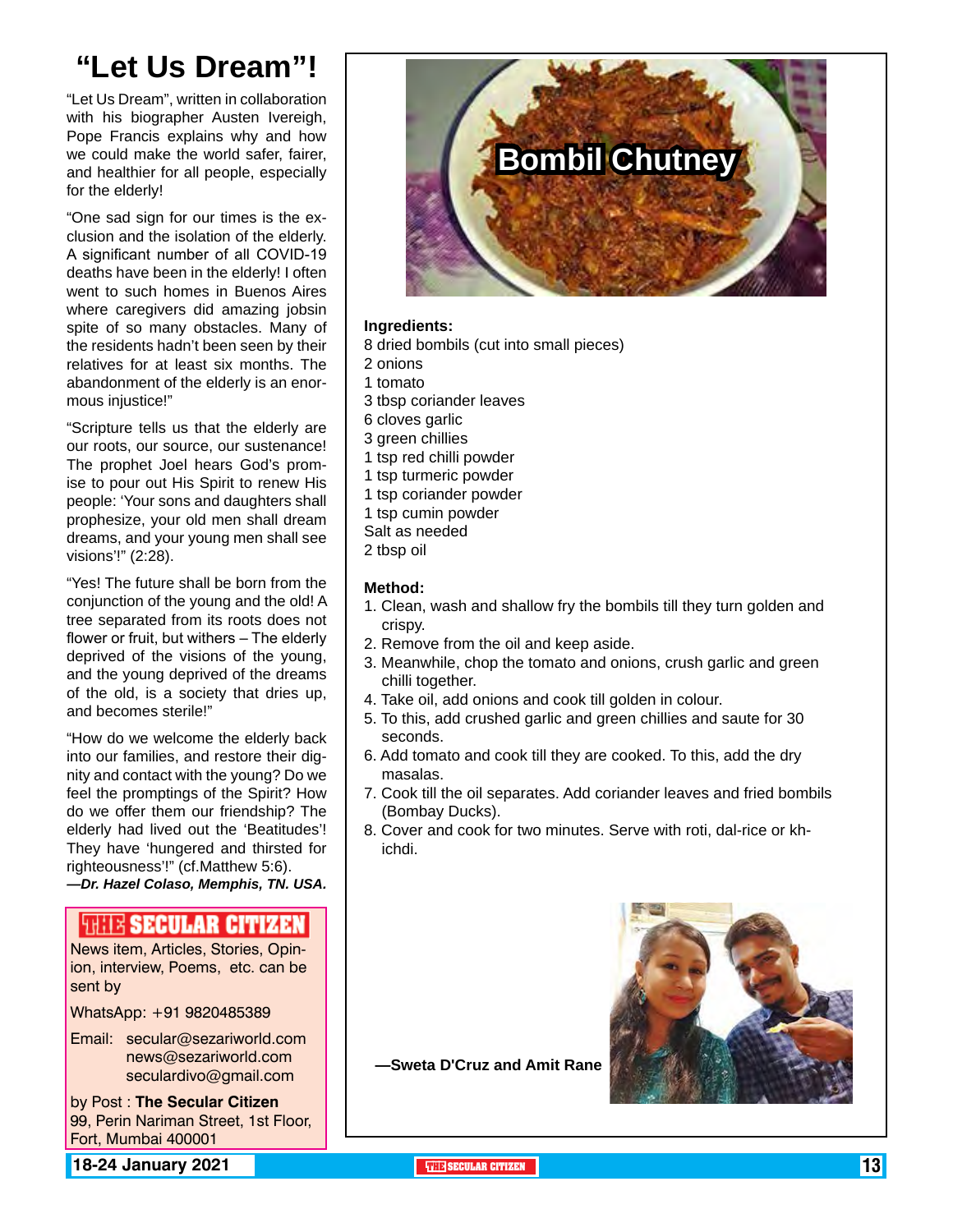## **"Let Us Dream"!**

"Let Us Dream", written in collaboration with his biographer Austen Ivereigh, Pope Francis explains why and how we could make the world safer, fairer, and healthier for all people, especially for the elderly!

"One sad sign for our times is the exclusion and the isolation of the elderly. A significant number of all COVID-19 deaths have been in the elderly! I often went to such homes in Buenos Aires where caregivers did amazing jobsin spite of so many obstacles. Many of the residents hadn't been seen by their relatives for at least six months. The abandonment of the elderly is an enormous injustice!"

"Scripture tells us that the elderly are our roots, our source, our sustenance! The prophet Joel hears God's promise to pour out His Spirit to renew His people: 'Your sons and daughters shall prophesize, your old men shall dream dreams, and your young men shall see visions'!" (2:28).

"Yes! The future shall be born from the conjunction of the young and the old! A tree separated from its roots does not flower or fruit, but withers – The elderly deprived of the visions of the young, and the young deprived of the dreams of the old, is a society that dries up, and becomes sterile!"

"How do we welcome the elderly back into our families, and restore their dignity and contact with the young? Do we feel the promptings of the Spirit? How do we offer them our friendship? The elderly had lived out the 'Beatitudes'! They have 'hungered and thirsted for righteousness'!" (cf.Matthew 5:6). *—Dr. Hazel Colaso, Memphis, TN. USA.*

#### **SHIIK SECULAR CITIZEN**

News item, Articles, Stories, Opinion, interview, Poems, etc. can be sent by

WhatsApp: +91 9820485389

Email: secular@sezariworld.com news@sezariworld.com seculardivo@gmail.com

by Post : **The Secular Citizen** 99, Perin Nariman Street, 1st Floor, Fort, Mumbai 400001

**18-24 January 2021 The City of the SECULAR CITIZEN THE THE SECULAR CITIZEN 13** 



#### **Ingredients:**

- 8 dried bombils (cut into small pieces)
- 2 onions
- 1 tomato
- 3 tbsp coriander leaves
- 6 cloves garlic
- 3 green chillies
- 1 tsp red chilli powder
- 1 tsp turmeric powder
- 1 tsp coriander powder
- 1 tsp cumin powder
- Salt as needed
- 2 tbsp oil

#### **Method:**

- 1. Clean, wash and shallow fry the bombils till they turn golden and crispy.
- 2. Remove from the oil and keep aside.
- 3. Meanwhile, chop the tomato and onions, crush garlic and green chilli together.
- 4. Take oil, add onions and cook till golden in colour.
- 5. To this, add crushed garlic and green chillies and saute for 30 seconds.
- 6. Add tomato and cook till they are cooked. To this, add the dry masalas.
- 7. Cook till the oil separates. Add coriander leaves and fried bombils (Bombay Ducks).
- 8. Cover and cook for two minutes. Serve with roti, dal-rice or khichdi.



**—Sweta D'Cruz and Amit Rane**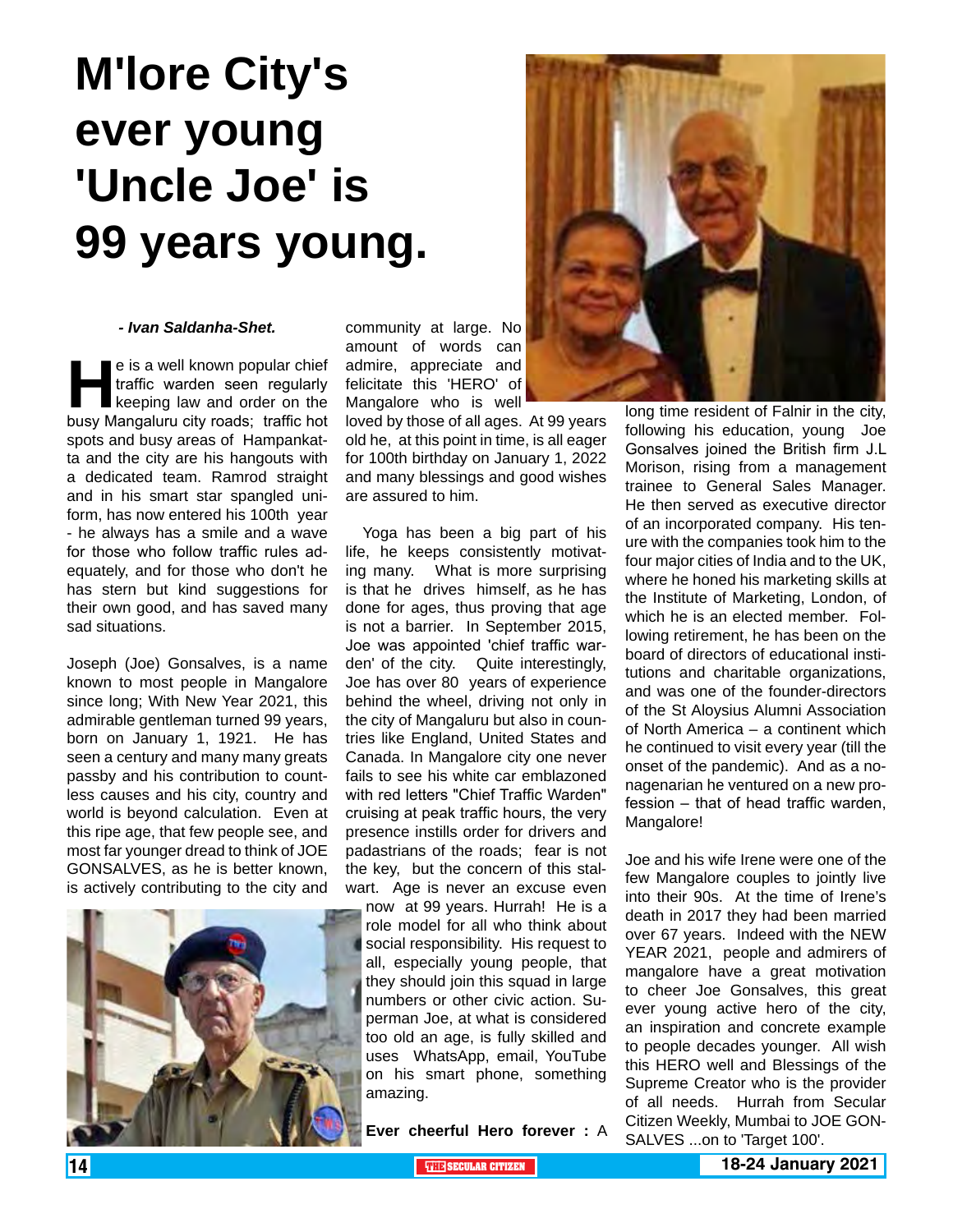# **M'lore City's ever young 'Uncle Joe' is 99 years young.**

#### *- Ivan Saldanha-Shet.*

e is a well known popular chief<br>traffic warden seen regularly<br>keeping law and order on the<br>busy Mangaluru city roads: traffic hot traffic warden seen regularly keeping law and order on the busy Mangaluru city roads; traffic hot spots and busy areas of Hampankatta and the city are his hangouts with a dedicated team. Ramrod straight and in his smart star spangled uniform, has now entered his 100th year - he always has a smile and a wave for those who follow traffic rules adequately, and for those who don't he has stern but kind suggestions for their own good, and has saved many sad situations.

Joseph (Joe) Gonsalves, is a name known to most people in Mangalore since long; With New Year 2021, this admirable gentleman turned 99 years, born on January 1, 1921. He has seen a century and many many greats passby and his contribution to countless causes and his city, country and world is beyond calculation. Even at this ripe age, that few people see, and most far younger dread to think of JOE GONSALVES, as he is better known, is actively contributing to the city and



community at large. No amount of words can admire, appreciate and felicitate this 'HERO' of Mangalore who is well

loved by those of all ages. At 99 years old he, at this point in time, is all eager for 100th birthday on January 1, 2022 and many blessings and good wishes are assured to him.

 Yoga has been a big part of his life, he keeps consistently motivating many. What is more surprising is that he drives himself, as he has done for ages, thus proving that age is not a barrier. In September 2015, Joe was appointed 'chief traffic warden' of the city. Quite interestingly, Joe has over 80 years of experience behind the wheel, driving not only in the city of Mangaluru but also in countries like England, United States and Canada. In Mangalore city one never fails to see his white car emblazoned with red letters "Chief Traffic Warden" cruising at peak traffic hours, the very presence instills order for drivers and padastrians of the roads; fear is not the key, but the concern of this stalwart. Age is never an excuse even

now at 99 years. Hurrah! He is a role model for all who think about social responsibility. His request to all, especially young people, that they should join this squad in large numbers or other civic action. Superman Joe, at what is considered too old an age, is fully skilled and uses WhatsApp, email, YouTube on his smart phone, something amazing.

**Ever cheerful Hero forever :** A



long time resident of Falnir in the city, following his education, young Joe Gonsalves joined the British firm J.L Morison, rising from a management trainee to General Sales Manager. He then served as executive director of an incorporated company. His tenure with the companies took him to the four major cities of India and to the UK, where he honed his marketing skills at the Institute of Marketing, London, of which he is an elected member. Following retirement, he has been on the board of directors of educational institutions and charitable organizations, and was one of the founder-directors of the St Aloysius Alumni Association of North America – a continent which he continued to visit every year (till the onset of the pandemic). And as a nonagenarian he ventured on a new profession – that of head traffic warden, Mangalore!

Joe and his wife Irene were one of the few Mangalore couples to jointly live into their 90s. At the time of Irene's death in 2017 they had been married over 67 years. Indeed with the NEW YEAR 2021, people and admirers of mangalore have a great motivation to cheer Joe Gonsalves, this great ever young active hero of the city, an inspiration and concrete example to people decades younger. All wish this HERO well and Blessings of the Supreme Creator who is the provider of all needs. Hurrah from Secular Citizen Weekly, Mumbai to JOE GON-SALVES ...on to 'Target 100'.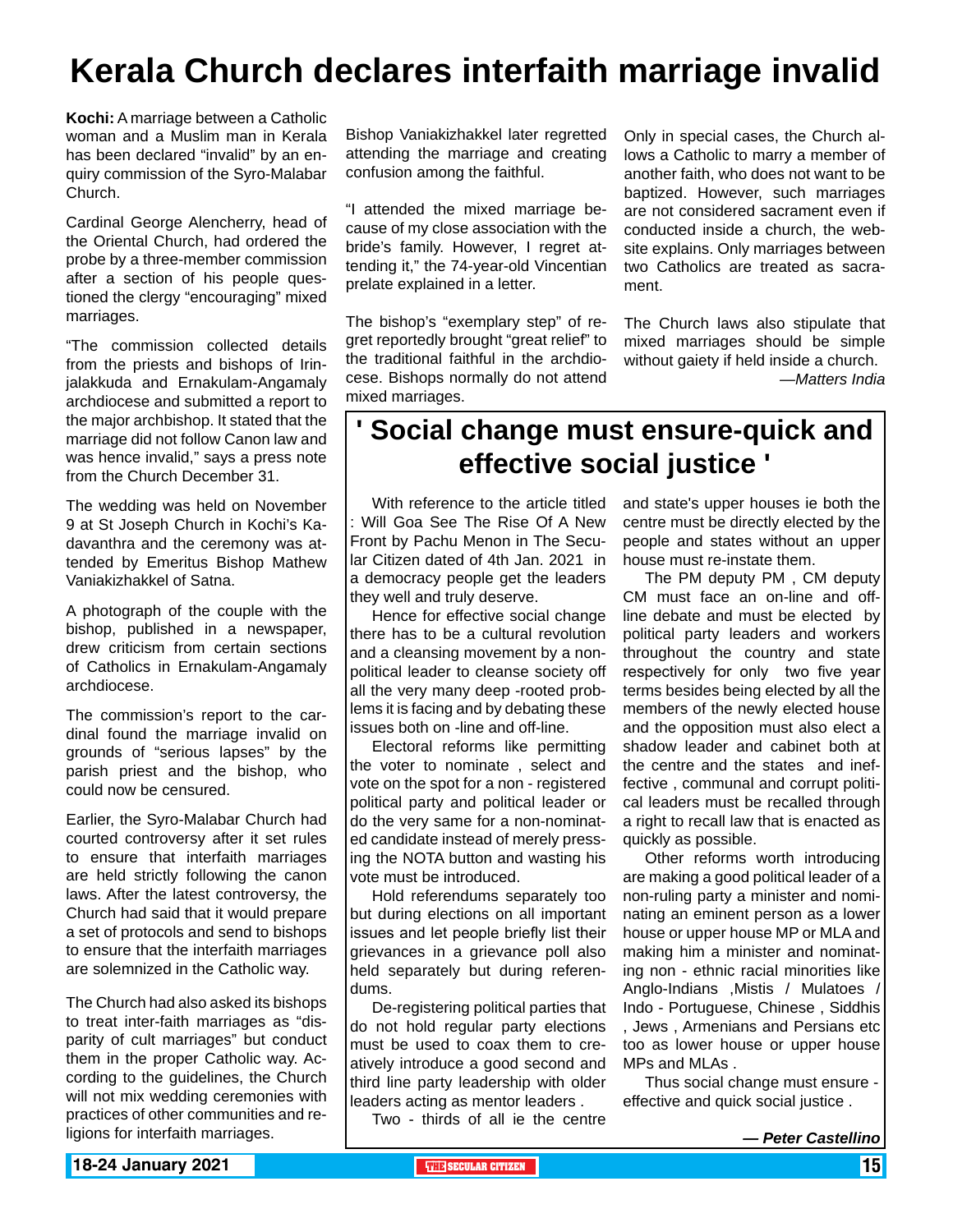## **Kerala Church declares interfaith marriage invalid**

**Kochi:** A marriage between a Catholic woman and a Muslim man in Kerala has been declared "invalid" by an enquiry commission of the Syro-Malabar Church.

Cardinal George Alencherry, head of the Oriental Church, had ordered the probe by a three-member commission after a section of his people questioned the clergy "encouraging" mixed marriages.

"The commission collected details from the priests and bishops of Irinjalakkuda and Ernakulam-Angamaly archdiocese and submitted a report to the major archbishop. It stated that the marriage did not follow Canon law and was hence invalid," says a press note from the Church December 31.

The wedding was held on November 9 at St Joseph Church in Kochi's Kadavanthra and the ceremony was attended by Emeritus Bishop Mathew Vaniakizhakkel of Satna.

A photograph of the couple with the bishop, published in a newspaper, drew criticism from certain sections of Catholics in Ernakulam-Angamaly archdiocese.

The commission's report to the cardinal found the marriage invalid on grounds of "serious lapses" by the parish priest and the bishop, who could now be censured.

Earlier, the Syro-Malabar Church had courted controversy after it set rules to ensure that interfaith marriages are held strictly following the canon laws. After the latest controversy, the Church had said that it would prepare a set of protocols and send to bishops to ensure that the interfaith marriages are solemnized in the Catholic way.

The Church had also asked its bishops to treat inter-faith marriages as "disparity of cult marriages" but conduct them in the proper Catholic way. According to the guidelines, the Church will not mix wedding ceremonies with practices of other communities and religions for interfaith marriages.

Bishop Vaniakizhakkel later regretted attending the marriage and creating confusion among the faithful.

"I attended the mixed marriage because of my close association with the bride's family. However, I regret attending it," the 74-year-old Vincentian prelate explained in a letter.

The bishop's "exemplary step" of regret reportedly brought "great relief" to the traditional faithful in the archdiocese. Bishops normally do not attend mixed marriages.

Only in special cases, the Church allows a Catholic to marry a member of another faith, who does not want to be baptized. However, such marriages are not considered sacrament even if conducted inside a church, the website explains. Only marriages between two Catholics are treated as sacrament.

The Church laws also stipulate that mixed marriages should be simple without gaiety if held inside a church. *—Matters India*

### **' Social change must ensure-quick and effective social justice '**

With reference to the article titled : Will Goa See The Rise Of A New Front by Pachu Menon in The Secular Citizen dated of 4th Jan. 2021 in a democracy people get the leaders they well and truly deserve.

Hence for effective social change there has to be a cultural revolution and a cleansing movement by a nonpolitical leader to cleanse society off all the very many deep -rooted problems it is facing and by debating these issues both on -line and off-line.

Electoral reforms like permitting the voter to nominate , select and vote on the spot for a non - registered political party and political leader or do the very same for a non-nominated candidate instead of merely pressing the NOTA button and wasting his vote must be introduced.

Hold referendums separately too but during elections on all important issues and let people briefly list their grievances in a grievance poll also held separately but during referendums.

De-registering political parties that do not hold regular party elections must be used to coax them to creatively introduce a good second and third line party leadership with older leaders acting as mentor leaders .

Two - thirds of all ie the centre

and state's upper houses ie both the centre must be directly elected by the people and states without an upper house must re-instate them.

The PM deputy PM , CM deputy CM must face an on-line and offline debate and must be elected by political party leaders and workers throughout the country and state respectively for only two five year terms besides being elected by all the members of the newly elected house and the opposition must also elect a shadow leader and cabinet both at the centre and the states and ineffective , communal and corrupt political leaders must be recalled through a right to recall law that is enacted as quickly as possible.

Other reforms worth introducing are making a good political leader of a non-ruling party a minister and nominating an eminent person as a lower house or upper house MP or MLA and making him a minister and nominating non - ethnic racial minorities like Anglo-Indians ,Mistis / Mulatoes / Indo - Portuguese, Chinese , Siddhis , Jews , Armenians and Persians etc too as lower house or upper house MPs and MLAs .

Thus social change must ensure effective and quick social justice .

*<sup>—</sup> Peter Castellino*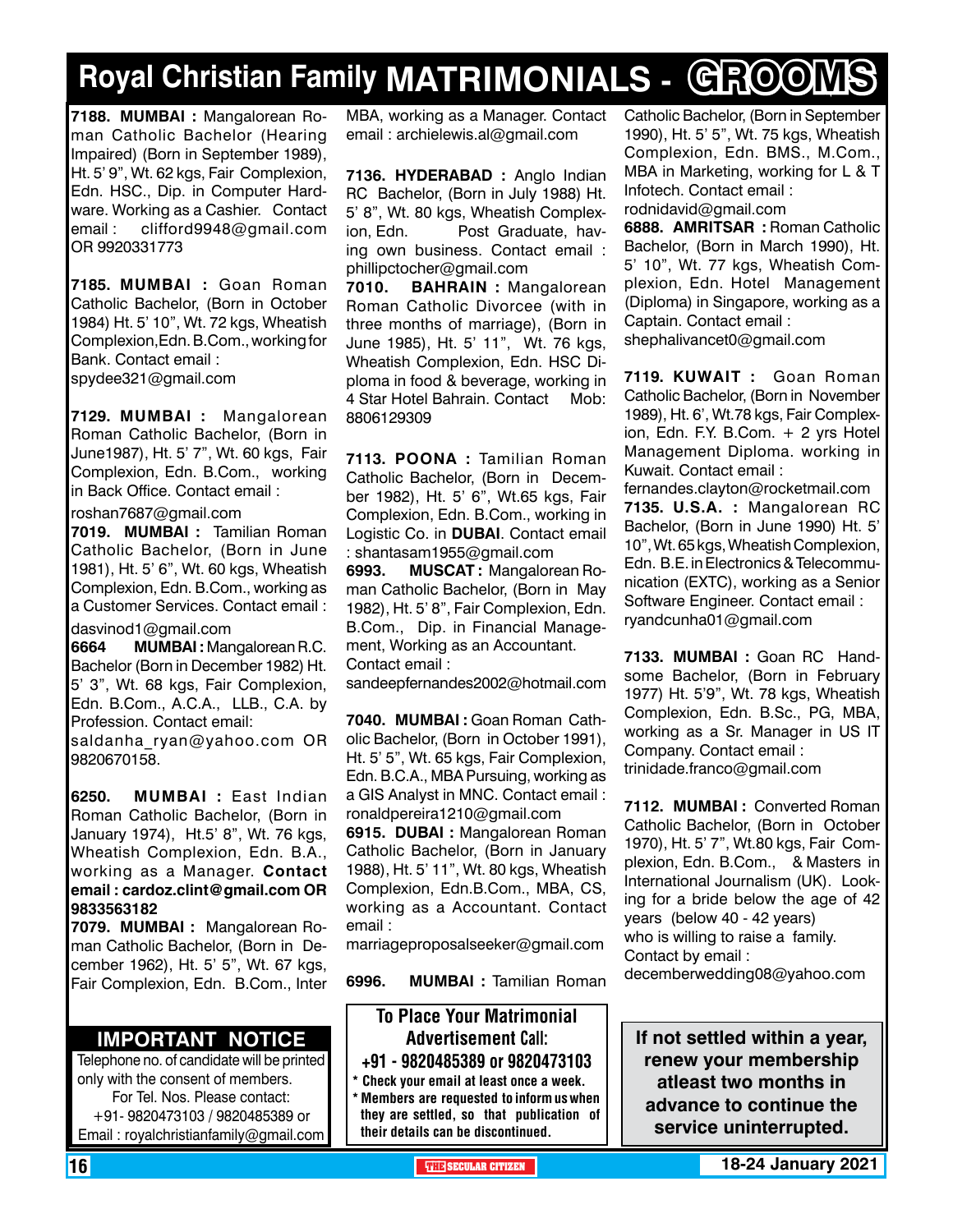# **Royal Christian Family MATRIMONIALS - GROOMS**

**7188. MUMBAI :** Mangalorean Roman Catholic Bachelor (Hearing Impaired) (Born in September 1989), Ht. 5' 9", Wt. 62 kgs, Fair Complexion, Edn. HSC., Dip. in Computer Hardware. Working as a Cashier. Contact email: clifford9948@gmail.com OR 9920331773

**7185. MUMBAI :** Goan Roman Catholic Bachelor, (Born in October 1984) Ht. 5' 10", Wt. 72 kgs, Wheatish Complexion,Edn. B.Com., working for Bank. Contact email : spydee321@gmail.com

**7129. MUMBAI :** Mangalorean Roman Catholic Bachelor, (Born in June1987), Ht. 5' 7", Wt. 60 kgs, Fair Complexion, Edn. B.Com., working in Back Office. Contact email :

roshan7687@gmail.com

**7019. MUMBAI :** Tamilian Roman Catholic Bachelor, (Born in June 1981), Ht. 5' 6", Wt. 60 kgs, Wheatish Complexion, Edn. B.Com., working as a Customer Services. Contact email :

dasvinod1@gmail.com

**6664 MUMBAI :** Mangalorean R.C. Bachelor (Born in December 1982) Ht. 5' 3", Wt. 68 kgs, Fair Complexion, Edn. B.Com., A.C.A., LLB., C.A. by Profession. Contact email:

saldanha ryan@yahoo.com OR 9820670158.

**6250. MUMBAI :** East Indian Roman Catholic Bachelor, (Born in January 1974), Ht.5' 8", Wt. 76 kgs, Wheatish Complexion, Edn. B.A., working as a Manager. Contact email : cardoz.clint@gmail.com OR 9833563182

**7079. MUMBAI :** Mangalorean Roman Catholic Bachelor, (Born in December 1962), Ht. 5' 5", Wt. 67 kgs, Fair Complexion, Edn. B.Com., Inter

#### **Important Notice**

Telephone no. of candidate will be printed only with the consent of members. For Tel. Nos. Please contact: +91- 9820473103 / 9820485389 or Email : royalchristianfamily@gmail.com

MBA, working as a Manager. Contact email : archielewis.al@gmail.com

**7136. HYDERABAD :** Anglo Indian RC Bachelor, (Born in July 1988) Ht. 5' 8", Wt. 80 kgs, Wheatish Complexion, Edn. Post Graduate, having own business. Contact email : phillipctocher@gmail.com

**7010. BAHRAIN :** Mangalorean Roman Catholic Divorcee (with in three months of marriage), (Born in June 1985), Ht. 5' 11", Wt. 76 kgs, Wheatish Complexion, Edn. HSC Diploma in food & beverage, working in 4 Star Hotel Bahrain. Contact Mob: 8806129309

**7113. POONA :** Tamilian Roman Catholic Bachelor, (Born in December 1982), Ht. 5' 6", Wt.65 kgs, Fair Complexion, Edn. B.Com., working in Logistic Co. in **DUBAI**. Contact email : shantasam1955@gmail.com

**6993. MUSCAT :** Mangalorean Roman Catholic Bachelor, (Born in May 1982), Ht. 5' 8", Fair Complexion, Edn. B.Com., Dip. in Financial Management, Working as an Accountant. Contact email :

sandeepfernandes2002@hotmail.com

**7040. MUMBAI :** Goan Roman Catholic Bachelor, (Born in October 1991), Ht. 5' 5", Wt. 65 kgs, Fair Complexion, Edn. B.C.A., MBA Pursuing, working as a GIS Analyst in MNC. Contact email : ronaldpereira1210@gmail.com

**6915. DUBAI :** Mangalorean Roman Catholic Bachelor, (Born in January 1988), Ht. 5' 11", Wt. 80 kgs, Wheatish Complexion, Edn.B.Com., MBA, CS, working as a Accountant. Contact email :

marriageproposalseeker@gmail.com

**6996. MUMBAI :** Tamilian Roman

To Place Your Matrimonial Advertisement Call: +91 - 9820485389 or 9820473103 \* Check your email at least once a week.

\* Members are requested to inform us when they are settled, so that publication of their details can be discontinued.

Catholic Bachelor, (Born in September 1990), Ht. 5' 5", Wt. 75 kgs, Wheatish Complexion, Edn. BMS., M.Com., MBA in Marketing, working for L & T Infotech. Contact email : rodnidavid@gmail.com

**6888. AMRITSAR :** Roman Catholic Bachelor, (Born in March 1990), Ht. 5' 10", Wt. 77 kgs, Wheatish Complexion, Edn. Hotel Management (Diploma) in Singapore, working as a Captain. Contact email : shephalivancet0@gmail.com

**7119. KUWAIT : Goan Roman** Catholic Bachelor, (Born in November 1989), Ht. 6', Wt.78 kgs, Fair Complexion, Edn. F.Y. B.Com. + 2 yrs Hotel Management Diploma. working in Kuwait. Contact email :

fernandes.clayton@rocketmail.com **7135. U.S.A. :** Mangalorean RC Bachelor, (Born in June 1990) Ht. 5' 10", Wt. 65 kgs, Wheatish Complexion, Edn. B.E. in Electronics & Telecommunication (EXTC), working as a Senior Software Engineer. Contact email : ryandcunha01@gmail.com

**7133. MUMBAI :** Goan RC Handsome Bachelor, (Born in February 1977) Ht. 5'9", Wt. 78 kgs, Wheatish Complexion, Edn. B.Sc., PG, MBA, working as a Sr. Manager in US IT Company. Contact email : trinidade.franco@gmail.com

**7112. MUMBAI :** Converted Roman Catholic Bachelor, (Born in October 1970), Ht. 5' 7", Wt.80 kgs, Fair Complexion, Edn. B.Com., & Masters in International Journalism (UK). Looking for a bride below the age of 42 years (below 40 - 42 years) who is willing to raise a family. Contact by email :

decemberwedding08@yahoo.com

**If not settled within a year, renew your membership atleast two months in advance to continue the service uninterrupted.**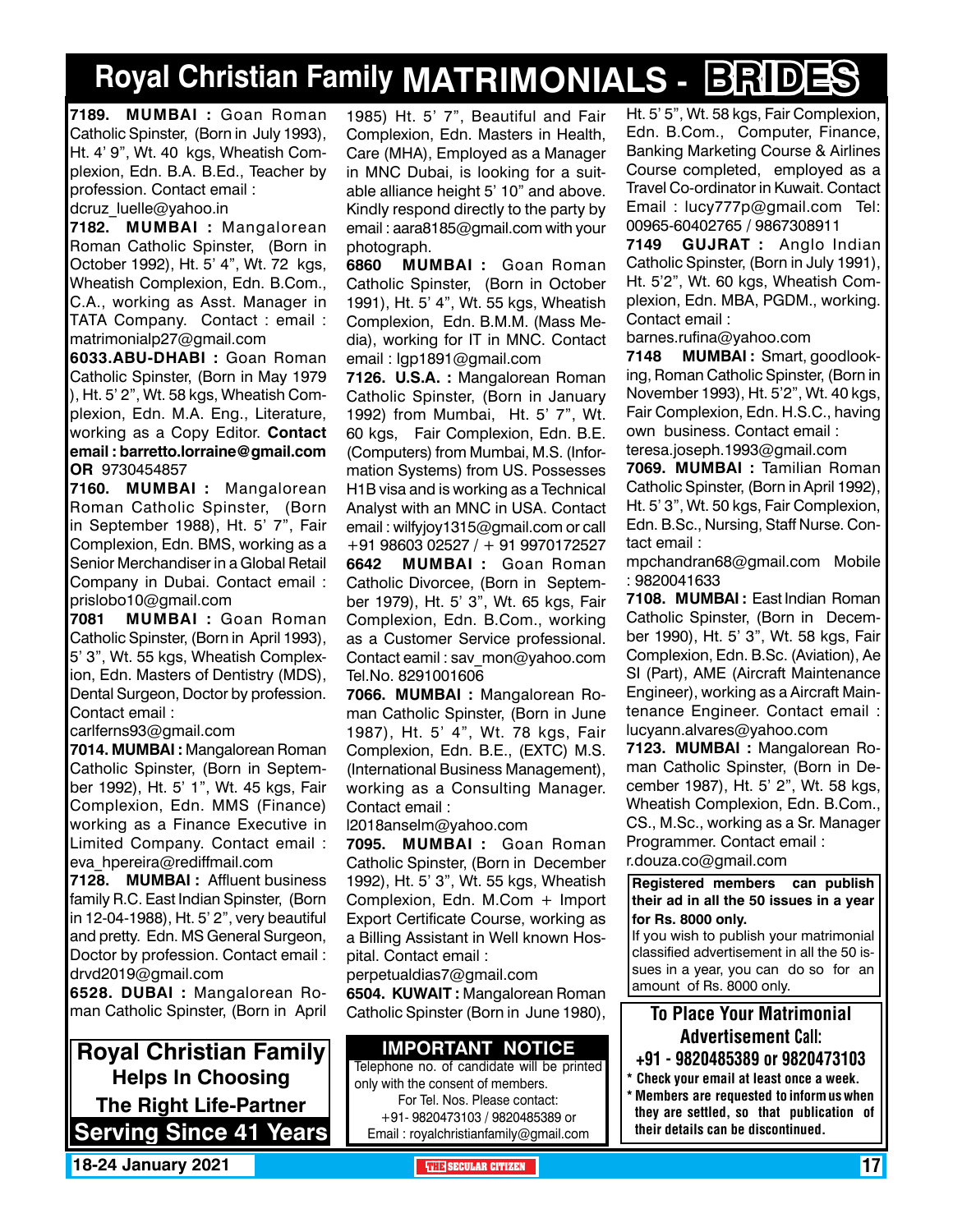# **Royal Christian Family MATRIMONIALS - BRIDES**

**7189. MUMBAI :** Goan Roman Catholic Spinster, (Born in July 1993), Ht. 4' 9", Wt. 40 kgs, Wheatish Complexion, Edn. B.A. B.Ed., Teacher by profession. Contact email :

dcruz\_luelle@yahoo.in

**7182. MUMBAI :** Mangalorean Roman Catholic Spinster, (Born in October 1992), Ht. 5' 4", Wt. 72 kgs, Wheatish Complexion, Edn. B.Com., C.A., working as Asst. Manager in TATA Company. Contact : email : matrimonialp27@gmail.com

**6033.ABU-DHABI :** Goan Roman Catholic Spinster, (Born in May 1979 ), Ht. 5' 2", Wt. 58 kgs, Wheatish Complexion, Edn. M.A. Eng., Literature, working as a Copy Editor. **Contact** email : barretto.lorraine@gmail.com OR 9730454857

**7160. MUMBAI :** Mangalorean Roman Catholic Spinster, (Born in September 1988), Ht. 5' 7", Fair Complexion, Edn. BMS, working as a Senior Merchandiser in a Global Retail Company in Dubai. Contact email : prislobo10@gmail.com

**7081 MUMBAI :** Goan Roman Catholic Spinster, (Born in April 1993), 5' 3", Wt. 55 kgs, Wheatish Complexion, Edn. Masters of Dentistry (MDS), Dental Surgeon, Doctor by profession. Contact email :

carlferns93@gmail.com

**7014. MUMBAI :** Mangalorean Roman Catholic Spinster, (Born in September 1992), Ht. 5' 1", Wt. 45 kgs, Fair Complexion, Edn. MMS (Finance) working as a Finance Executive in Limited Company. Contact email : eva\_hpereira@rediffmail.com

**7128. MUMBAI :** Affluent business family R.C. East Indian Spinster, (Born in 12-04-1988), Ht. 5' 2", very beautiful and pretty. Edn. MS General Surgeon, Doctor by profession. Contact email : drvd2019@gmail.com

**6528. DUBAI :** Mangalorean Roman Catholic Spinster, (Born in April

**Royal Christian Family Helps In Choosing The Right Life-Partner Serving Since 41 Years** 1985) Ht. 5' 7", Beautiful and Fair Complexion, Edn. Masters in Health, Care (MHA), Employed as a Manager in MNC Dubai, is looking for a suitable alliance height 5' 10" and above. Kindly respond directly to the party by email : aara8185@gmail.com with your photograph.

**6860 MUMBAI :** Goan Roman Catholic Spinster, (Born in October 1991), Ht. 5' 4", Wt. 55 kgs, Wheatish Complexion, Edn. B.M.M. (Mass Media), working for IT in MNC. Contact email : lgp1891@gmail.com

**7126. U.S.A. :** Mangalorean Roman Catholic Spinster, (Born in January 1992) from Mumbai, Ht. 5' 7", Wt. 60 kgs, Fair Complexion, Edn. B.E. (Computers) from Mumbai, M.S. (Information Systems) from US. Possesses H1B visa and is working as a Technical Analyst with an MNC in USA. Contact email : wilfyjoy1315@gmail.com or call +91 98603 02527 / + 91 9970172527

**6642 MUMBAI :** Goan Roman Catholic Divorcee, (Born in September 1979), Ht. 5' 3", Wt. 65 kgs, Fair Complexion, Edn. B.Com., working as a Customer Service professional. Contact eamil : sav\_mon@yahoo.com Tel.No. 8291001606

**7066. MUMBAI :** Mangalorean Roman Catholic Spinster, (Born in June 1987), Ht. 5' 4", Wt. 78 kgs, Fair Complexion, Edn. B.E., (EXTC) M.S. (International Business Management), working as a Consulting Manager. Contact email :

l2018anselm@yahoo.com

**7095. MUMBAI :** Goan Roman Catholic Spinster, (Born in December 1992), Ht. 5' 3", Wt. 55 kgs, Wheatish Complexion, Edn. M.Com + Import Export Certificate Course, working as a Billing Assistant in Well known Hospital. Contact email :

perpetualdias7@gmail.com **6504. Kuwait :** Mangalorean Roman Catholic Spinster (Born in June 1980),

#### **Important Notice**

Telephone no. of candidate will be printed only with the consent of members. For Tel. Nos. Please contact: +91- 9820473103 / 9820485389 or Email : royalchristianfamily@gmail.com

Ht. 5' 5", Wt. 58 kgs, Fair Complexion, Edn. B.Com., Computer, Finance, Banking Marketing Course & Airlines Course completed, employed as a Travel Co-ordinator in Kuwait. Contact Email : lucy777p@gmail.com Tel: 00965-60402765 / 9867308911

**7149 GUJRAT :** Anglo Indian Catholic Spinster, (Born in July 1991), Ht. 5'2", Wt. 60 kgs, Wheatish Complexion, Edn. MBA, PGDM., working. Contact email :

barnes.rufina@yahoo.com

**7148 MUMBAI :** Smart, goodlooking, Roman Catholic Spinster, (Born in November 1993), Ht. 5'2", Wt. 40 kgs, Fair Complexion, Edn. H.S.C., having own business. Contact email : teresa.joseph.1993@gmail.com

**7069. MUMBAI :** Tamilian Roman Catholic Spinster, (Born in April 1992), Ht. 5' 3", Wt. 50 kgs, Fair Complexion, Edn. B.Sc., Nursing, Staff Nurse. Contact email :

mpchandran68@gmail.com Mobile : 9820041633

**7108. MUMBAI :** East Indian Roman Catholic Spinster, (Born in December 1990), Ht. 5' 3", Wt. 58 kgs, Fair Complexion, Edn. B.Sc. (Aviation), Ae SI (Part), AME (Aircraft Maintenance Engineer), working as a Aircraft Maintenance Engineer. Contact email : lucyann.alvares@yahoo.com

**7123. MUMBAI :** Mangalorean Roman Catholic Spinster, (Born in December 1987), Ht. 5' 2", Wt. 58 kgs, Wheatish Complexion, Edn. B.Com., CS., M.Sc., working as a Sr. Manager Programmer. Contact email : r.douza.co@gmail.com

**Registered members can publish their ad in all the 50 issues in a year for Rs. 8000 only.**

If you wish to publish your matrimonial classified advertisement in all the 50 issues in a year, you can do so for an amount of Rs. 8000 only.

### To Place Your Matrimonial Advertisement Call:

- +91 9820485389 or 9820473103
- \* Check your email at least once a week. \* Members are requested to inform us when they are settled, so that publication of their details can be discontinued.

**18-24 January 2021 THE SECULAR CITIZEN** 17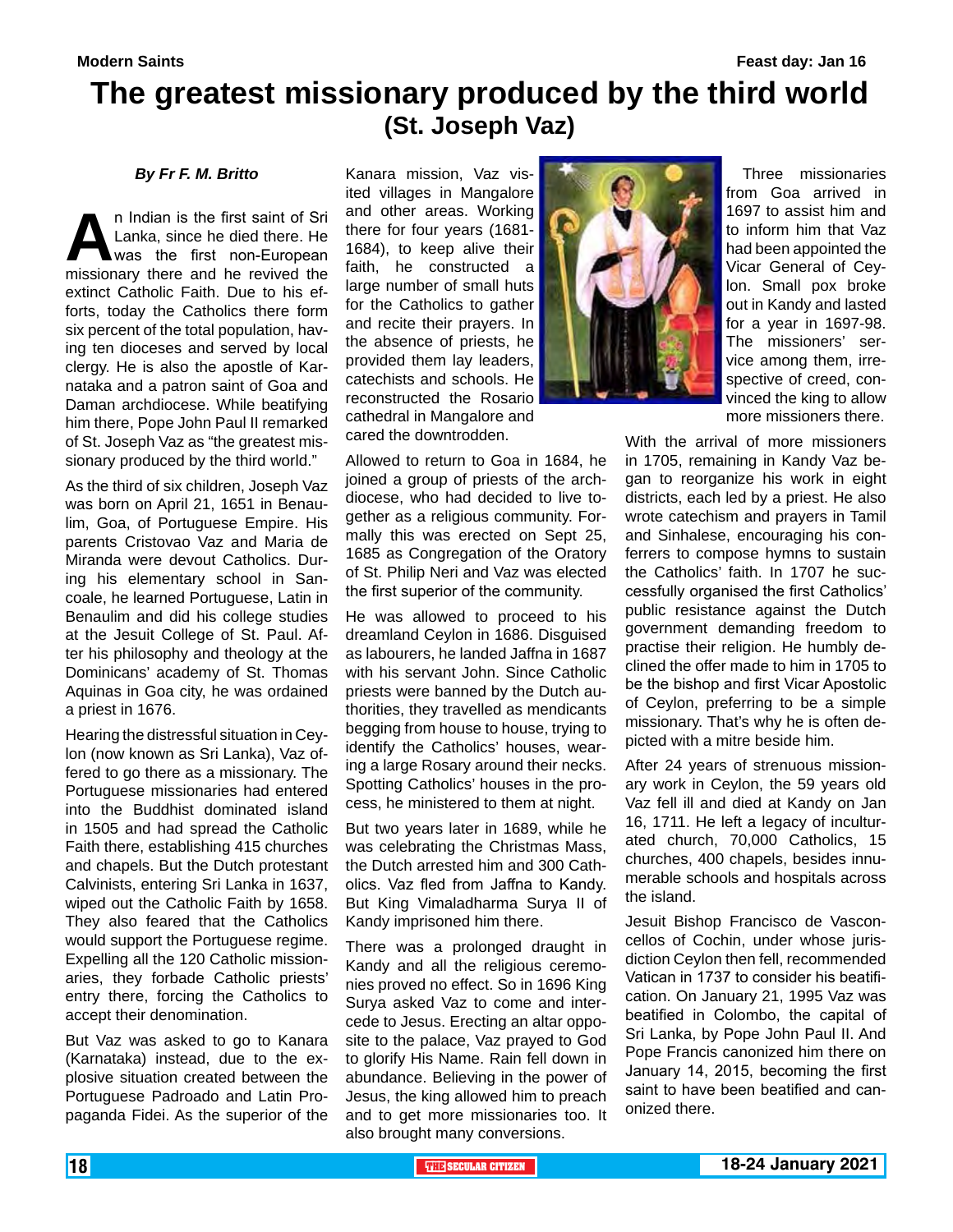### **The greatest missionary produced by the third world (St. Joseph Vaz)**

#### *By Fr F. M. Britto*

**An Indian is the first saint of Sri** Lanka, since he died there. He was the first non-European missionary there and he revived the Lanka, since he died there. He was the first non-European extinct Catholic Faith. Due to his efforts, today the Catholics there form six percent of the total population, having ten dioceses and served by local clergy. He is also the apostle of Karnataka and a patron saint of Goa and Daman archdiocese. While beatifying him there, Pope John Paul II remarked of St. Joseph Vaz as "the greatest missionary produced by the third world."

As the third of six children, Joseph Vaz was born on April 21, 1651 in Benaulim, Goa, of Portuguese Empire. His parents Cristovao Vaz and Maria de Miranda were devout Catholics. During his elementary school in Sancoale, he learned Portuguese, Latin in Benaulim and did his college studies at the Jesuit College of St. Paul. After his philosophy and theology at the Dominicans' academy of St. Thomas Aquinas in Goa city, he was ordained a priest in 1676.

Hearing the distressful situation in Ceylon (now known as Sri Lanka), Vaz offered to go there as a missionary. The Portuguese missionaries had entered into the Buddhist dominated island in 1505 and had spread the Catholic Faith there, establishing 415 churches and chapels. But the Dutch protestant Calvinists, entering Sri Lanka in 1637, wiped out the Catholic Faith by 1658. They also feared that the Catholics would support the Portuguese regime. Expelling all the 120 Catholic missionaries, they forbade Catholic priests' entry there, forcing the Catholics to accept their denomination.

But Vaz was asked to go to Kanara (Karnataka) instead, due to the explosive situation created between the Portuguese Padroado and Latin Propaganda Fidei. As the superior of the

Kanara mission, Vaz visited villages in Mangalore and other areas. Working there for four years (1681- 1684), to keep alive their faith, he constructed a large number of small huts for the Catholics to gather and recite their prayers. In the absence of priests, he provided them lay leaders, catechists and schools. He reconstructed the Rosario cathedral in Mangalore and cared the downtrodden.

Allowed to return to Goa in 1684, he joined a group of priests of the archdiocese, who had decided to live together as a religious community. Formally this was erected on Sept 25, 1685 as Congregation of the Oratory of St. Philip Neri and Vaz was elected the first superior of the community.

He was allowed to proceed to his dreamland Ceylon in 1686. Disguised as labourers, he landed Jaffna in 1687 with his servant John. Since Catholic priests were banned by the Dutch authorities, they travelled as mendicants begging from house to house, trying to identify the Catholics' houses, wearing a large Rosary around their necks. Spotting Catholics' houses in the process, he ministered to them at night.

But two years later in 1689, while he was celebrating the Christmas Mass, the Dutch arrested him and 300 Catholics. Vaz fled from Jaffna to Kandy. But King Vimaladharma Surya II of Kandy imprisoned him there.

There was a prolonged draught in Kandy and all the religious ceremonies proved no effect. So in 1696 King Surya asked Vaz to come and intercede to Jesus. Erecting an altar opposite to the palace, Vaz prayed to God to glorify His Name. Rain fell down in abundance. Believing in the power of Jesus, the king allowed him to preach and to get more missionaries too. It also brought many conversions.



 Three missionaries from Goa arrived in 1697 to assist him and to inform him that Vaz had been appointed the Vicar General of Ceylon. Small pox broke out in Kandy and lasted for a year in 1697-98. The missioners' service among them, irrespective of creed, convinced the king to allow more missioners there.

With the arrival of more missioners in 1705, remaining in Kandy Vaz began to reorganize his work in eight districts, each led by a priest. He also wrote catechism and prayers in Tamil and Sinhalese, encouraging his conferrers to compose hymns to sustain the Catholics' faith. In 1707 he successfully organised the first Catholics' public resistance against the Dutch government demanding freedom to practise their religion. He humbly declined the offer made to him in 1705 to be the bishop and first Vicar Apostolic of Ceylon, preferring to be a simple missionary. That's why he is often depicted with a mitre beside him.

After 24 years of strenuous missionary work in Ceylon, the 59 years old Vaz fell ill and died at Kandy on Jan 16, 1711. He left a legacy of inculturated church, 70,000 Catholics, 15 churches, 400 chapels, besides innumerable schools and hospitals across the island.

Jesuit Bishop Francisco de Vasconcellos of Cochin, under whose jurisdiction Ceylon then fell, recommended Vatican in 1737 to consider his beatification. On January 21, 1995 Vaz was beatified in Colombo, the capital of Sri Lanka, by Pope John Paul II. And Pope Francis canonized him there on January 14, 2015, becoming the first saint to have been beatified and canonized there.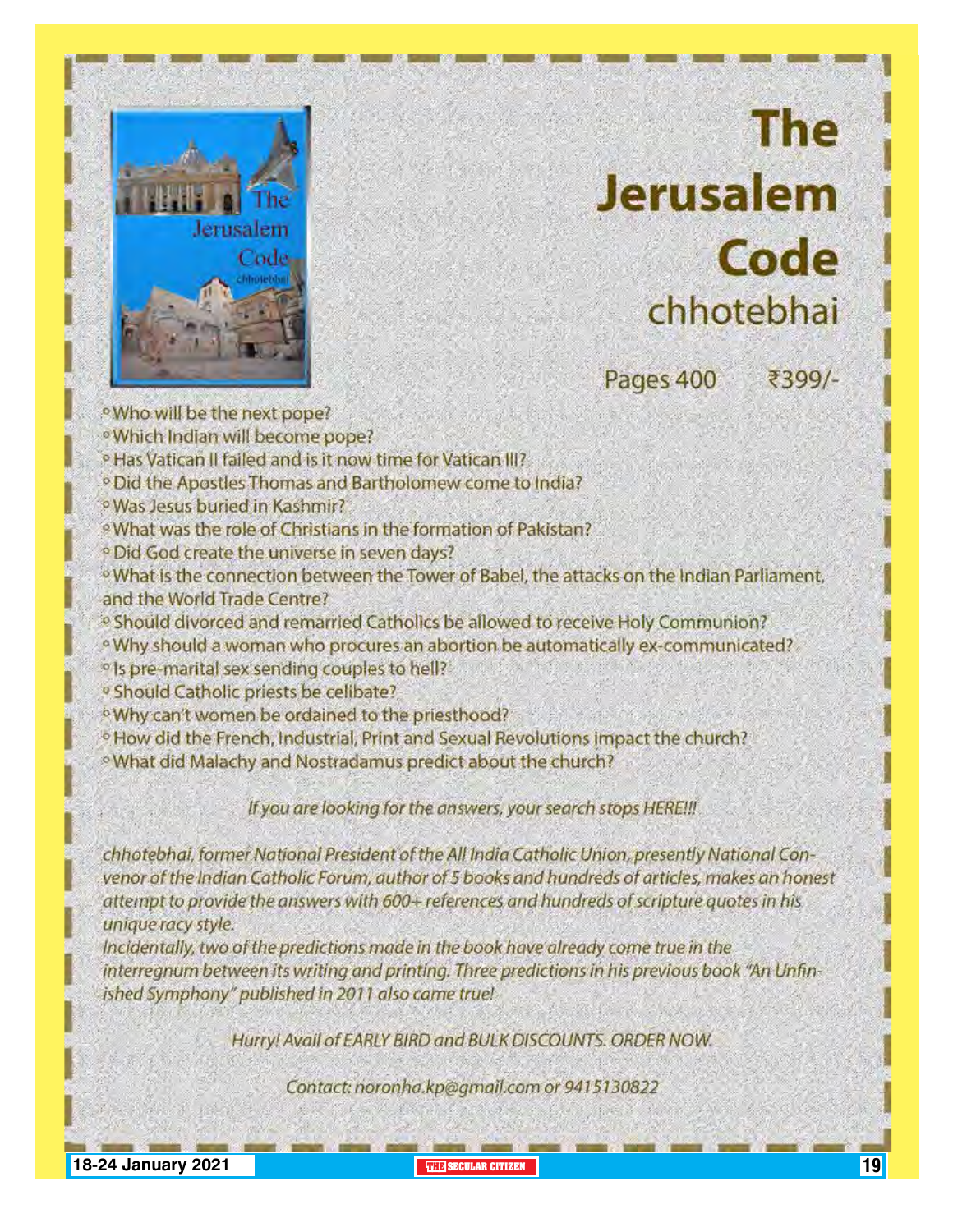

# **The Jerusalem Code** chhotebhai

Pages 400

₹399/-

· Who will be the next pope? <sup>o</sup> Which Indian will become pope? <sup>o</sup> Has Vatican II failed and is it now time for Vatican III? <sup>o</sup> Did the Apostles Thomas and Bartholomew come to India? <sup>o</sup> Was Jesus buried in Kashmir? <sup>9</sup> What was the role of Christians in the formation of Pakistan? <sup>o</sup> Did God create the universe in seven days? <sup>o</sup> What is the connection between the Tower of Babel, the attacks on the Indian Parliament, and the World Trade Centre? <sup>o</sup> Should divorced and remarried Catholics be allowed to receive Holy Communion? <sup>o</sup> Why should a woman who procures an abortion be automatically ex-communicated? <sup>o</sup> Is pre-marital sex sending couples to hell? <sup>o</sup> Should Catholic priests be celibate? <sup>o</sup>Why can't women be ordained to the priesthood? <sup>o</sup> How did the French, Industrial, Print and Sexual Revolutions impact the church? <sup>o</sup> What did Malachy and Nostradamus predict about the church?

If you are looking for the answers, your search stops HERE!!!

chhotebhai, former National President of the All India Catholic Union, presently National Convenor of the Indian Catholic Forum, author of 5 books and hundreds of articles, makes an honest attempt to provide the answers with 600+ references and hundreds of scripture quotes in his unique racy style.

Incidentally, two of the predictions made in the book have already come true in the interregnum between its writing and printing. Three predictions in his previous book "An Unfinished Symphony" published in 2011 also came true!

Hurry! Avail of EARLY BIRD and BULK DISCOUNTS. ORDER NOW.

Contact: noronha.kp@gmail.com or 9415130822

**18-24 January 2021 THE SECULAR CITIZEN** 19